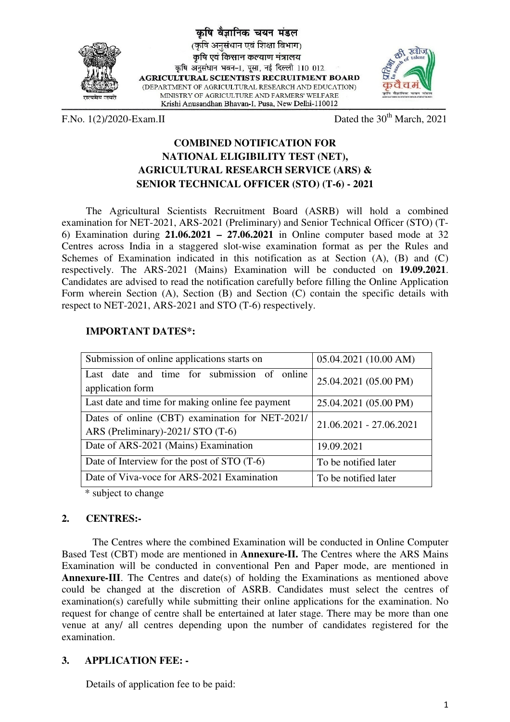

वैज्ञानिक चयन मंडल (कृषि अनसंधान एवं शिक्षा विभाग) कषि एवं किसान कल्याण मंत्रालय कृषि अनुसंधान भवन-1, पूसा, नई दिल्ली 110 012. **AGRICULTURAL SCIENTISTS RECRUITMENT BOARD** (DEPARTMENT OF AGRICULTURAL RESEARCH AND EDUCATION) MINISTRY OF AGRICULTURE AND FARMERS' WELFARE Krishi Anusandhan Bhavan-I, Pusa, New Delhi-110012



F.No.  $1(2)/2020$ -Exam.II Dated the  $30<sup>th</sup>$  March, 2021

## **COMBINED NOTIFICATION FOR NATIONAL ELIGIBILITY TEST (NET), AGRICULTURAL RESEARCH SERVICE (ARS) & SENIOR TECHNICAL OFFICER (STO) (T-6) - 2021**

The Agricultural Scientists Recruitment Board (ASRB) will hold a combined examination for NET-2021, ARS-2021 (Preliminary) and Senior Technical Officer (STO) (T-6) Examination during **21.06.2021 – 27.06.2021** in Online computer based mode at 32 Centres across India in a staggered slot-wise examination format as per the Rules and Schemes of Examination indicated in this notification as at Section (A), (B) and (C) respectively. The ARS-2021 (Mains) Examination will be conducted on **19.09.2021**. Candidates are advised to read the notification carefully before filling the Online Application Form wherein Section (A), Section (B) and Section (C) contain the specific details with respect to NET-2021, ARS-2021 and STO (T-6) respectively.

## **IMPORTANT DATES\*:**

| Submission of online applications starts on                                          | 05.04.2021 (10.00 AM)   |
|--------------------------------------------------------------------------------------|-------------------------|
| Last date and time for submission of online<br>application form                      | 25.04.2021 (05.00 PM)   |
| Last date and time for making online fee payment                                     | 25.04.2021 (05.00 PM)   |
| Dates of online (CBT) examination for NET-2021/<br>ARS (Preliminary)-2021/ STO (T-6) | 21.06.2021 - 27.06.2021 |
| Date of ARS-2021 (Mains) Examination                                                 | 19.09.2021              |
| Date of Interview for the post of STO (T-6)                                          | To be notified later    |
| Date of Viva-voce for ARS-2021 Examination                                           | To be notified later    |

\* subject to change

## **2. CENTRES:-**

 The Centres where the combined Examination will be conducted in Online Computer Based Test (CBT) mode are mentioned in **Annexure-II.** The Centres where the ARS Mains Examination will be conducted in conventional Pen and Paper mode, are mentioned in **Annexure-III**. The Centres and date(s) of holding the Examinations as mentioned above could be changed at the discretion of ASRB. Candidates must select the centres of examination(s) carefully while submitting their online applications for the examination. No request for change of centre shall be entertained at later stage. There may be more than one venue at any/ all centres depending upon the number of candidates registered for the examination.

## **3. APPLICATION FEE: -**

Details of application fee to be paid: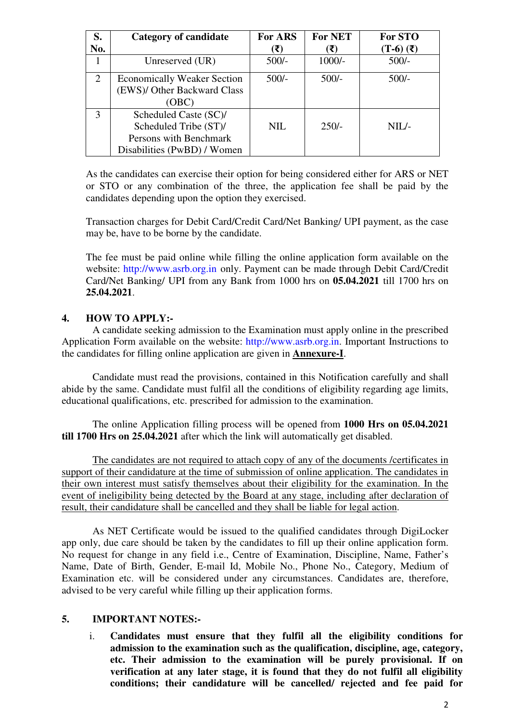| S.  | <b>Category of candidate</b>       | For ARS    | <b>For NET</b> | For STO                     |
|-----|------------------------------------|------------|----------------|-----------------------------|
| No. |                                    | (₹)        | (₹)            | $(T-6)$ $(\overline{\tau})$ |
|     | Unreserved (UR)                    | $500/-$    | $1000/-$       | $500/-$                     |
| 2   | <b>Economically Weaker Section</b> | $500/-$    | $500/-$        | $500/-$                     |
|     | (EWS)/ Other Backward Class        |            |                |                             |
|     | (OBC)                              |            |                |                             |
| 3   | Scheduled Caste (SC)/              |            |                |                             |
|     | Scheduled Tribe (ST)/              | <b>NIL</b> | $250/-$        | $NIL$ -                     |
|     | Persons with Benchmark             |            |                |                             |
|     | Disabilities (PwBD) / Women        |            |                |                             |

As the candidates can exercise their option for being considered either for ARS or NET or STO or any combination of the three, the application fee shall be paid by the candidates depending upon the option they exercised.

Transaction charges for Debit Card/Credit Card/Net Banking/ UPI payment, as the case may be, have to be borne by the candidate.

The fee must be paid online while filling the online application form available on the website: http://www.asrb.org.in only. Payment can be made through Debit Card/Credit Card/Net Banking/ UPI from any Bank from 1000 hrs on **05.04.2021** till 1700 hrs on **25.04.2021**.

### **4. HOW TO APPLY:-**

 A candidate seeking admission to the Examination must apply online in the prescribed Application Form available on the website: http://www.asrb.org.in. Important Instructions to the candidates for filling online application are given in **Annexure-I**.

 Candidate must read the provisions, contained in this Notification carefully and shall abide by the same. Candidate must fulfil all the conditions of eligibility regarding age limits, educational qualifications, etc. prescribed for admission to the examination.

 The online Application filling process will be opened from **1000 Hrs on 05.04.2021 till 1700 Hrs on 25.04.2021** after which the link will automatically get disabled.

 The candidates are not required to attach copy of any of the documents /certificates in support of their candidature at the time of submission of online application. The candidates in their own interest must satisfy themselves about their eligibility for the examination. In the event of ineligibility being detected by the Board at any stage, including after declaration of result, their candidature shall be cancelled and they shall be liable for legal action.

 As NET Certificate would be issued to the qualified candidates through DigiLocker app only, due care should be taken by the candidates to fill up their online application form. No request for change in any field i.e., Centre of Examination, Discipline, Name, Father's Name, Date of Birth, Gender, E-mail Id, Mobile No., Phone No., Category, Medium of Examination etc. will be considered under any circumstances. Candidates are, therefore, advised to be very careful while filling up their application forms.

#### **5. IMPORTANT NOTES:-**

i. **Candidates must ensure that they fulfil all the eligibility conditions for admission to the examination such as the qualification, discipline, age, category, etc. Their admission to the examination will be purely provisional. If on verification at any later stage, it is found that they do not fulfil all eligibility conditions; their candidature will be cancelled/ rejected and fee paid for**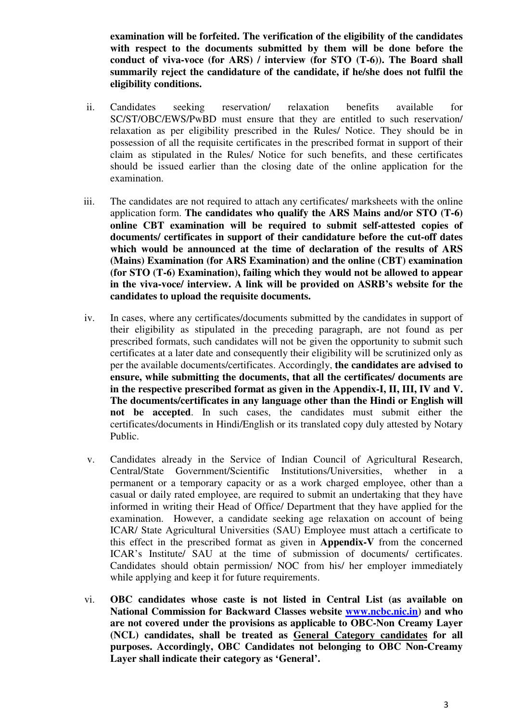**examination will be forfeited. The verification of the eligibility of the candidates with respect to the documents submitted by them will be done before the conduct of viva-voce (for ARS) / interview (for STO (T-6)). The Board shall summarily reject the candidature of the candidate, if he/she does not fulfil the eligibility conditions.** 

- ii. Candidates seeking reservation/ relaxation benefits available for SC/ST/OBC/EWS/PwBD must ensure that they are entitled to such reservation/ relaxation as per eligibility prescribed in the Rules/ Notice. They should be in possession of all the requisite certificates in the prescribed format in support of their claim as stipulated in the Rules/ Notice for such benefits, and these certificates should be issued earlier than the closing date of the online application for the examination.
- iii. The candidates are not required to attach any certificates/ marksheets with the online application form. **The candidates who qualify the ARS Mains and/or STO (T-6) online CBT examination will be required to submit self-attested copies of documents/ certificates in support of their candidature before the cut-off dates which would be announced at the time of declaration of the results of ARS (Mains) Examination (for ARS Examination) and the online (CBT) examination (for STO (T-6) Examination), failing which they would not be allowed to appear in the viva-voce/ interview. A link will be provided on ASRB's website for the candidates to upload the requisite documents.**
- iv. In cases, where any certificates/documents submitted by the candidates in support of their eligibility as stipulated in the preceding paragraph, are not found as per prescribed formats, such candidates will not be given the opportunity to submit such certificates at a later date and consequently their eligibility will be scrutinized only as per the available documents/certificates. Accordingly, **the candidates are advised to ensure, while submitting the documents, that all the certificates/ documents are in the respective prescribed format as given in the Appendix-I, II, III, IV and V. The documents/certificates in any language other than the Hindi or English will not be accepted**. In such cases, the candidates must submit either the certificates/documents in Hindi/English or its translated copy duly attested by Notary Public.
- v. Candidates already in the Service of Indian Council of Agricultural Research, Central/State Government/Scientific Institutions/Universities, whether in a permanent or a temporary capacity or as a work charged employee, other than a casual or daily rated employee, are required to submit an undertaking that they have informed in writing their Head of Office/ Department that they have applied for the examination. However, a candidate seeking age relaxation on account of being ICAR/ State Agricultural Universities (SAU) Employee must attach a certificate to this effect in the prescribed format as given in **Appendix-V** from the concerned ICAR's Institute/ SAU at the time of submission of documents/ certificates. Candidates should obtain permission/ NOC from his/ her employer immediately while applying and keep it for future requirements.
- vi. **OBC candidates whose caste is not listed in Central List (as available on National Commission for Backward Classes website www.ncbc.nic.in) and who are not covered under the provisions as applicable to OBC-Non Creamy Layer (NCL) candidates, shall be treated as General Category candidates for all purposes. Accordingly, OBC Candidates not belonging to OBC Non-Creamy Layer shall indicate their category as 'General'.**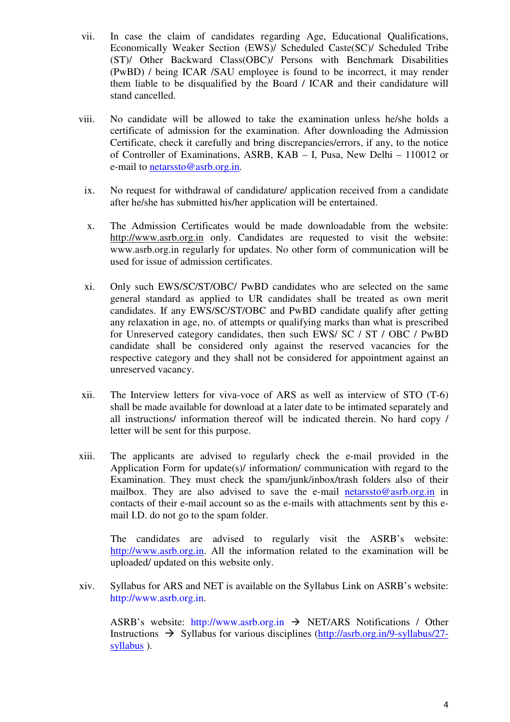- vii. In case the claim of candidates regarding Age, Educational Qualifications, Economically Weaker Section (EWS)/ Scheduled Caste(SC)/ Scheduled Tribe (ST)/ Other Backward Class(OBC)/ Persons with Benchmark Disabilities (PwBD) / being ICAR /SAU employee is found to be incorrect, it may render them liable to be disqualified by the Board / ICAR and their candidature will stand cancelled.
- viii. No candidate will be allowed to take the examination unless he/she holds a certificate of admission for the examination. After downloading the Admission Certificate, check it carefully and bring discrepancies/errors, if any, to the notice of Controller of Examinations, ASRB, KAB – I, Pusa, New Delhi – 110012 or e-mail to netarssto@asrb.org.in.
	- ix. No request for withdrawal of candidature/ application received from a candidate after he/she has submitted his/her application will be entertained.
	- x. The Admission Certificates would be made downloadable from the website: http://www.asrb.org.in only. Candidates are requested to visit the website: www.asrb.org.in regularly for updates. No other form of communication will be used for issue of admission certificates.
	- xi. Only such EWS/SC/ST/OBC/ PwBD candidates who are selected on the same general standard as applied to UR candidates shall be treated as own merit candidates. If any EWS/SC/ST/OBC and PwBD candidate qualify after getting any relaxation in age, no. of attempts or qualifying marks than what is prescribed for Unreserved category candidates, then such EWS/ SC / ST / OBC / PwBD candidate shall be considered only against the reserved vacancies for the respective category and they shall not be considered for appointment against an unreserved vacancy.
- xii. The Interview letters for viva-voce of ARS as well as interview of STO (T-6) shall be made available for download at a later date to be intimated separately and all instructions/ information thereof will be indicated therein. No hard copy / letter will be sent for this purpose.
- xiii. The applicants are advised to regularly check the e-mail provided in the Application Form for update(s)/ information/ communication with regard to the Examination. They must check the spam/junk/inbox/trash folders also of their mailbox. They are also advised to save the e-mail netarssto@asrb.org.in in contacts of their e-mail account so as the e-mails with attachments sent by this email I.D. do not go to the spam folder.

 The candidates are advised to regularly visit the ASRB's website: http://www.asrb.org.in. All the information related to the examination will be uploaded/ updated on this website only.

xiv. Syllabus for ARS and NET is available on the Syllabus Link on ASRB's website: http://www.asrb.org.in.

ASRB's website: http://www.asrb.org.in  $\rightarrow$  NET/ARS Notifications / Other Instructions  $\rightarrow$  Syllabus for various disciplines (http://asrb.org.in/9-syllabus/27syllabus ).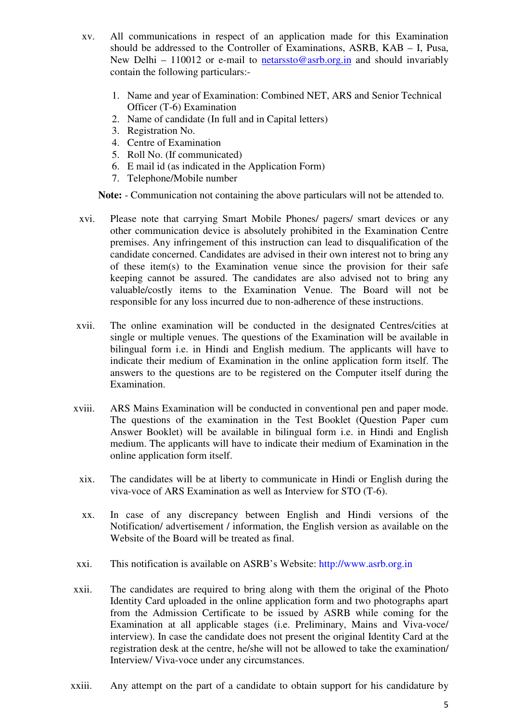- xv. All communications in respect of an application made for this Examination should be addressed to the Controller of Examinations, ASRB, KAB – I, Pusa, New Delhi – 110012 or e-mail to netarssto@asrb.org.in and should invariably contain the following particulars:-
	- 1. Name and year of Examination: Combined NET, ARS and Senior Technical Officer (T-6) Examination
	- 2. Name of candidate (In full and in Capital letters)
	- 3. Registration No.
	- 4. Centre of Examination
	- 5. Roll No. (If communicated)
	- 6. E mail id (as indicated in the Application Form)
	- 7. Telephone/Mobile number

**Note:** - Communication not containing the above particulars will not be attended to.

- xvi. Please note that carrying Smart Mobile Phones/ pagers/ smart devices or any other communication device is absolutely prohibited in the Examination Centre premises. Any infringement of this instruction can lead to disqualification of the candidate concerned. Candidates are advised in their own interest not to bring any of these item(s) to the Examination venue since the provision for their safe keeping cannot be assured. The candidates are also advised not to bring any valuable/costly items to the Examination Venue. The Board will not be responsible for any loss incurred due to non-adherence of these instructions.
- xvii. The online examination will be conducted in the designated Centres/cities at single or multiple venues. The questions of the Examination will be available in bilingual form i.e. in Hindi and English medium. The applicants will have to indicate their medium of Examination in the online application form itself. The answers to the questions are to be registered on the Computer itself during the Examination.
- xviii. ARS Mains Examination will be conducted in conventional pen and paper mode. The questions of the examination in the Test Booklet (Question Paper cum Answer Booklet) will be available in bilingual form i.e. in Hindi and English medium. The applicants will have to indicate their medium of Examination in the online application form itself.
- xix. The candidates will be at liberty to communicate in Hindi or English during the viva-voce of ARS Examination as well as Interview for STO (T-6).
- xx. In case of any discrepancy between English and Hindi versions of the Notification/ advertisement / information, the English version as available on the Website of the Board will be treated as final.
- xxi. This notification is available on ASRB's Website: http://www.asrb.org.in
- xxii. The candidates are required to bring along with them the original of the Photo Identity Card uploaded in the online application form and two photographs apart from the Admission Certificate to be issued by ASRB while coming for the Examination at all applicable stages (i.e. Preliminary, Mains and Viva-voce/ interview). In case the candidate does not present the original Identity Card at the registration desk at the centre, he/she will not be allowed to take the examination/ Interview/ Viva-voce under any circumstances.
- xxiii. Any attempt on the part of a candidate to obtain support for his candidature by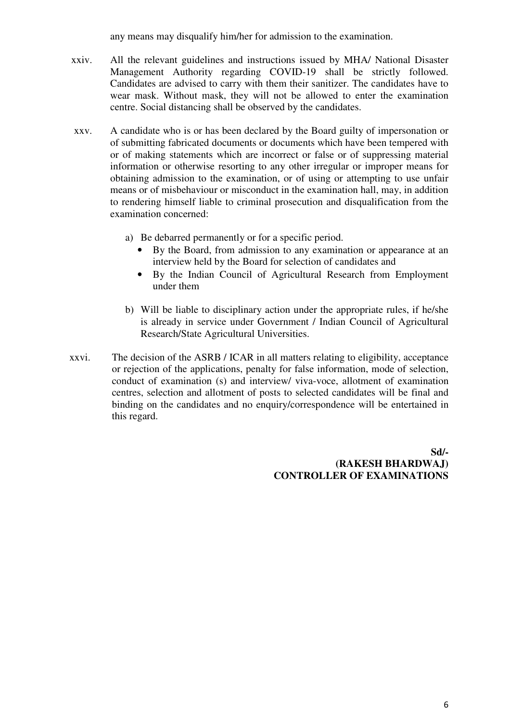any means may disqualify him/her for admission to the examination.

- xxiv. All the relevant guidelines and instructions issued by MHA/ National Disaster Management Authority regarding COVID-19 shall be strictly followed. Candidates are advised to carry with them their sanitizer. The candidates have to wear mask. Without mask, they will not be allowed to enter the examination centre. Social distancing shall be observed by the candidates.
- xxv. A candidate who is or has been declared by the Board guilty of impersonation or of submitting fabricated documents or documents which have been tempered with or of making statements which are incorrect or false or of suppressing material information or otherwise resorting to any other irregular or improper means for obtaining admission to the examination, or of using or attempting to use unfair means or of misbehaviour or misconduct in the examination hall, may, in addition to rendering himself liable to criminal prosecution and disqualification from the examination concerned:
	- a) Be debarred permanently or for a specific period.
		- By the Board, from admission to any examination or appearance at an interview held by the Board for selection of candidates and
		- By the Indian Council of Agricultural Research from Employment under them
	- b) Will be liable to disciplinary action under the appropriate rules, if he/she is already in service under Government / Indian Council of Agricultural Research/State Agricultural Universities.
- xxvi. The decision of the ASRB / ICAR in all matters relating to eligibility, acceptance or rejection of the applications, penalty for false information, mode of selection, conduct of examination (s) and interview/ viva-voce, allotment of examination centres, selection and allotment of posts to selected candidates will be final and binding on the candidates and no enquiry/correspondence will be entertained in this regard.

**Sd/- (RAKESH BHARDWAJ) CONTROLLER OF EXAMINATIONS**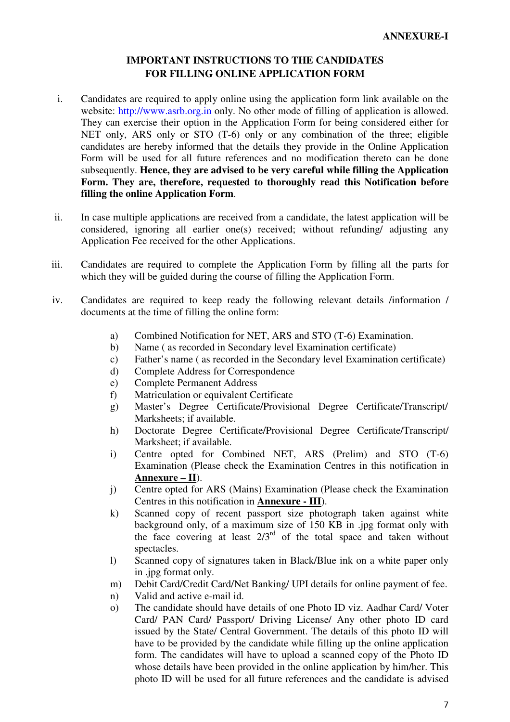## **IMPORTANT INSTRUCTIONS TO THE CANDIDATES FOR FILLING ONLINE APPLICATION FORM**

- i. Candidates are required to apply online using the application form link available on the website: http://www.asrb.org.in only. No other mode of filling of application is allowed. They can exercise their option in the Application Form for being considered either for NET only, ARS only or STO (T-6) only or any combination of the three; eligible candidates are hereby informed that the details they provide in the Online Application Form will be used for all future references and no modification thereto can be done subsequently. **Hence, they are advised to be very careful while filling the Application Form. They are, therefore, requested to thoroughly read this Notification before filling the online Application Form**.
- ii. In case multiple applications are received from a candidate, the latest application will be considered, ignoring all earlier one(s) received; without refunding/ adjusting any Application Fee received for the other Applications.
- iii. Candidates are required to complete the Application Form by filling all the parts for which they will be guided during the course of filling the Application Form.
- iv. Candidates are required to keep ready the following relevant details /information / documents at the time of filling the online form:
	- a) Combined Notification for NET, ARS and STO (T-6) Examination.
	- b) Name ( as recorded in Secondary level Examination certificate)
	- c) Father's name ( as recorded in the Secondary level Examination certificate)
	- d) Complete Address for Correspondence
	- e) Complete Permanent Address
	- f) Matriculation or equivalent Certificate
	- g) Master's Degree Certificate/Provisional Degree Certificate/Transcript/ Marksheets; if available.
	- h) Doctorate Degree Certificate/Provisional Degree Certificate/Transcript/ Marksheet; if available.
	- i) Centre opted for Combined NET, ARS (Prelim) and STO (T-6) Examination (Please check the Examination Centres in this notification in **Annexure – II**).
	- j) Centre opted for ARS (Mains) Examination (Please check the Examination Centres in this notification in **Annexure - III**).
	- k) Scanned copy of recent passport size photograph taken against white background only, of a maximum size of 150 KB in .jpg format only with the face covering at least  $2/3^{rd}$  of the total space and taken without spectacles.
	- l) Scanned copy of signatures taken in Black/Blue ink on a white paper only in .jpg format only.
	- m) Debit Card/Credit Card/Net Banking/ UPI details for online payment of fee.
	- n) Valid and active e-mail id.
	- o) The candidate should have details of one Photo ID viz. Aadhar Card/ Voter Card/ PAN Card/ Passport/ Driving License/ Any other photo ID card issued by the State/ Central Government. The details of this photo ID will have to be provided by the candidate while filling up the online application form. The candidates will have to upload a scanned copy of the Photo ID whose details have been provided in the online application by him/her. This photo ID will be used for all future references and the candidate is advised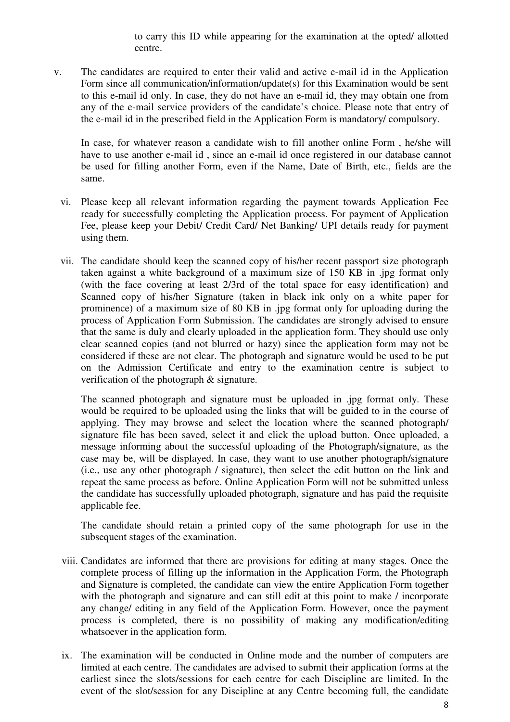to carry this ID while appearing for the examination at the opted/ allotted centre.

v. The candidates are required to enter their valid and active e-mail id in the Application Form since all communication/information/update(s) for this Examination would be sent to this e-mail id only. In case, they do not have an e-mail id, they may obtain one from any of the e-mail service providers of the candidate's choice. Please note that entry of the e-mail id in the prescribed field in the Application Form is mandatory/ compulsory.

 In case, for whatever reason a candidate wish to fill another online Form , he/she will have to use another e-mail id , since an e-mail id once registered in our database cannot be used for filling another Form, even if the Name, Date of Birth, etc., fields are the same.

- vi. Please keep all relevant information regarding the payment towards Application Fee ready for successfully completing the Application process. For payment of Application Fee, please keep your Debit/ Credit Card/ Net Banking/ UPI details ready for payment using them.
- vii. The candidate should keep the scanned copy of his/her recent passport size photograph taken against a white background of a maximum size of 150 KB in .jpg format only (with the face covering at least 2/3rd of the total space for easy identification) and Scanned copy of his/her Signature (taken in black ink only on a white paper for prominence) of a maximum size of 80 KB in .jpg format only for uploading during the process of Application Form Submission. The candidates are strongly advised to ensure that the same is duly and clearly uploaded in the application form. They should use only clear scanned copies (and not blurred or hazy) since the application form may not be considered if these are not clear. The photograph and signature would be used to be put on the Admission Certificate and entry to the examination centre is subject to verification of the photograph & signature.

 The scanned photograph and signature must be uploaded in .jpg format only. These would be required to be uploaded using the links that will be guided to in the course of applying. They may browse and select the location where the scanned photograph/ signature file has been saved, select it and click the upload button. Once uploaded, a message informing about the successful uploading of the Photograph/signature, as the case may be, will be displayed. In case, they want to use another photograph/signature (i.e., use any other photograph / signature), then select the edit button on the link and repeat the same process as before. Online Application Form will not be submitted unless the candidate has successfully uploaded photograph, signature and has paid the requisite applicable fee.

 The candidate should retain a printed copy of the same photograph for use in the subsequent stages of the examination.

- viii. Candidates are informed that there are provisions for editing at many stages. Once the complete process of filling up the information in the Application Form, the Photograph and Signature is completed, the candidate can view the entire Application Form together with the photograph and signature and can still edit at this point to make / incorporate any change/ editing in any field of the Application Form. However, once the payment process is completed, there is no possibility of making any modification/editing whatsoever in the application form.
- ix. The examination will be conducted in Online mode and the number of computers are limited at each centre. The candidates are advised to submit their application forms at the earliest since the slots/sessions for each centre for each Discipline are limited. In the event of the slot/session for any Discipline at any Centre becoming full, the candidate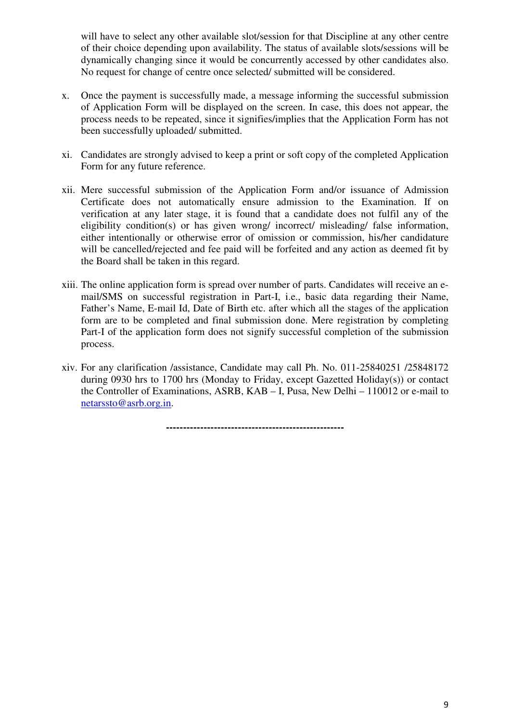will have to select any other available slot/session for that Discipline at any other centre of their choice depending upon availability. The status of available slots/sessions will be dynamically changing since it would be concurrently accessed by other candidates also. No request for change of centre once selected/ submitted will be considered.

- x. Once the payment is successfully made, a message informing the successful submission of Application Form will be displayed on the screen. In case, this does not appear, the process needs to be repeated, since it signifies/implies that the Application Form has not been successfully uploaded/ submitted.
- xi. Candidates are strongly advised to keep a print or soft copy of the completed Application Form for any future reference.
- xii. Mere successful submission of the Application Form and/or issuance of Admission Certificate does not automatically ensure admission to the Examination. If on verification at any later stage, it is found that a candidate does not fulfil any of the eligibility condition(s) or has given wrong/ incorrect/ misleading/ false information, either intentionally or otherwise error of omission or commission, his/her candidature will be cancelled/rejected and fee paid will be forfeited and any action as deemed fit by the Board shall be taken in this regard.
- xiii. The online application form is spread over number of parts. Candidates will receive an email/SMS on successful registration in Part-I, i.e., basic data regarding their Name, Father's Name, E-mail Id, Date of Birth etc. after which all the stages of the application form are to be completed and final submission done. Mere registration by completing Part-I of the application form does not signify successful completion of the submission process.
- xiv. For any clarification /assistance, Candidate may call Ph. No. 011-25840251 /25848172 during 0930 hrs to 1700 hrs (Monday to Friday, except Gazetted Holiday(s)) or contact the Controller of Examinations, ASRB, KAB – I, Pusa, New Delhi – 110012 or e-mail to netarssto@asrb.org.in.

**----------------------------------------------------**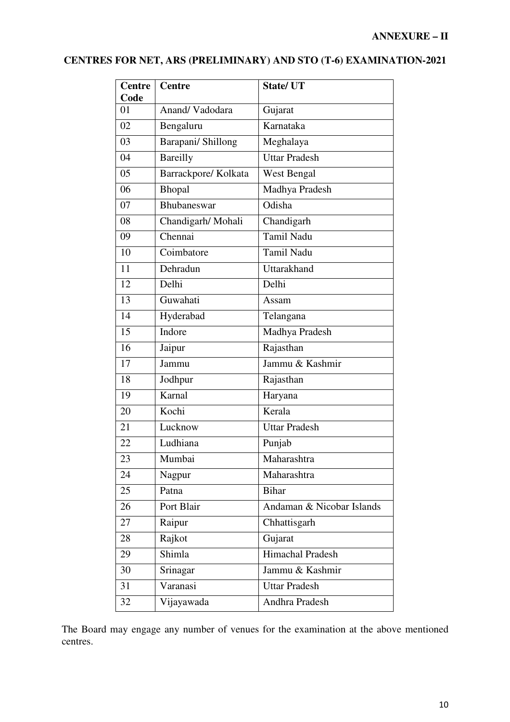# **CENTRES FOR NET, ARS (PRELIMINARY) AND STO (T-6) EXAMINATION-2021**

| <b>Centre</b><br>Code | <b>Centre</b>        | <b>State/UT</b>           |  |
|-----------------------|----------------------|---------------------------|--|
| 01                    | Anand/Vadodara       | Gujarat                   |  |
| 02                    | Bengaluru            | Karnataka                 |  |
| 03                    | Barapani/ Shillong   | Meghalaya                 |  |
| 04                    | Bareilly             | <b>Uttar Pradesh</b>      |  |
| 05                    | Barrackpore/ Kolkata | West Bengal               |  |
| 06                    | Bhopal               | Madhya Pradesh            |  |
| 07                    | Bhubaneswar          | Odisha                    |  |
| 08                    | Chandigarh/ Mohali   | Chandigarh                |  |
| 09                    | Chennai              | <b>Tamil Nadu</b>         |  |
| 10                    | Coimbatore           | <b>Tamil Nadu</b>         |  |
| 11                    | Dehradun             | Uttarakhand               |  |
| 12                    | Delhi                | Delhi                     |  |
| 13                    | Guwahati             | Assam                     |  |
| 14                    | Hyderabad            | Telangana                 |  |
| 15                    | Indore               | Madhya Pradesh            |  |
| 16                    | Jaipur               | Rajasthan                 |  |
| 17                    | Jammu                | Jammu & Kashmir           |  |
| 18                    | Jodhpur              | Rajasthan                 |  |
| 19                    | Karnal               | Haryana                   |  |
| 20                    | Kochi                | Kerala                    |  |
| 21                    | Lucknow              | <b>Uttar Pradesh</b>      |  |
| 22                    | Ludhiana             | Punjab                    |  |
| 23                    | Mumbai               | Maharashtra               |  |
| 24                    | Nagpur               | Maharashtra               |  |
| 25                    | Patna                | <b>Bihar</b>              |  |
| 26                    | Port Blair           | Andaman & Nicobar Islands |  |
| 27                    | Raipur               | Chhattisgarh              |  |
| 28                    | Rajkot               | Gujarat                   |  |
| 29                    | Shimla               | Himachal Pradesh          |  |
| 30                    | Srinagar             | Jammu & Kashmir           |  |
| 31                    | Varanasi             | <b>Uttar Pradesh</b>      |  |
| 32                    | Vijayawada           | Andhra Pradesh            |  |

The Board may engage any number of venues for the examination at the above mentioned centres.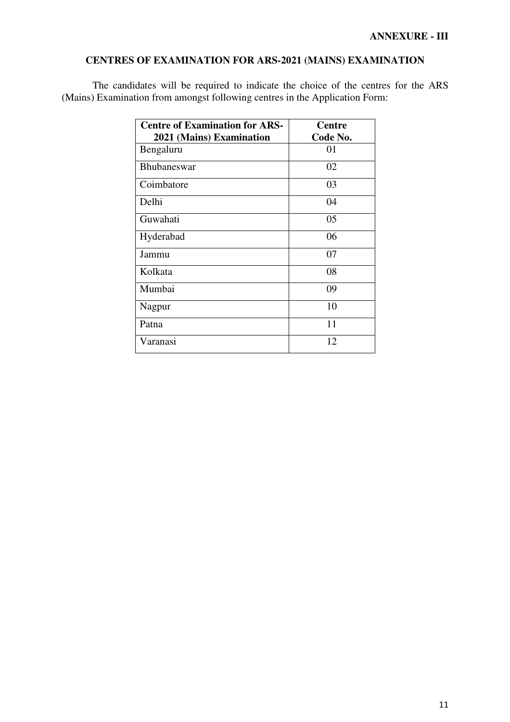## **CENTRES OF EXAMINATION FOR ARS-2021 (MAINS) EXAMINATION**

The candidates will be required to indicate the choice of the centres for the ARS (Mains) Examination from amongst following centres in the Application Form:

| <b>Centre of Examination for ARS-</b> | <b>Centre</b> |
|---------------------------------------|---------------|
| 2021 (Mains) Examination              | Code No.      |
| Bengaluru                             | 01            |
| <b>Bhubaneswar</b>                    | 02            |
| Coimbatore                            | 03            |
| Delhi                                 | 04            |
| Guwahati                              | 05            |
| Hyderabad                             | 06            |
| Jammu                                 | 07            |
| Kolkata                               | 08            |
| Mumbai                                | 09            |
| Nagpur                                | 10            |
| Patna                                 | 11            |
| Varanasi                              | 12            |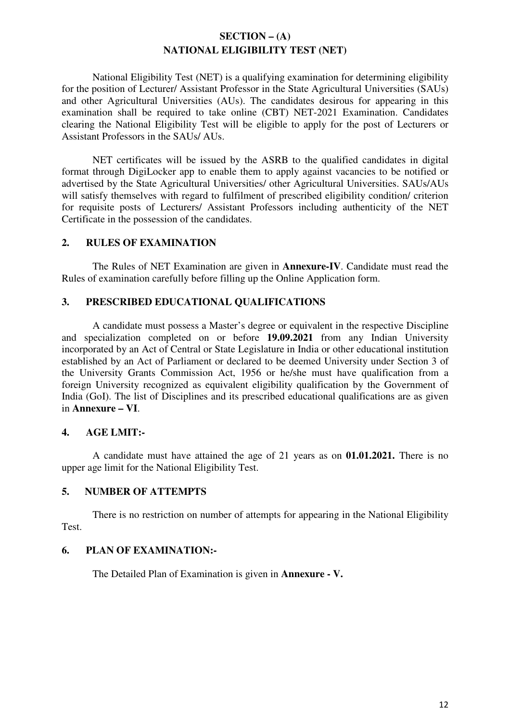## **SECTION – (A) NATIONAL ELIGIBILITY TEST (NET)**

 National Eligibility Test (NET) is a qualifying examination for determining eligibility for the position of Lecturer/ Assistant Professor in the State Agricultural Universities (SAUs) and other Agricultural Universities (AUs). The candidates desirous for appearing in this examination shall be required to take online (CBT) NET-2021 Examination. Candidates clearing the National Eligibility Test will be eligible to apply for the post of Lecturers or Assistant Professors in the SAUs/ AUs.

 NET certificates will be issued by the ASRB to the qualified candidates in digital format through DigiLocker app to enable them to apply against vacancies to be notified or advertised by the State Agricultural Universities/ other Agricultural Universities. SAUs/AUs will satisfy themselves with regard to fulfilment of prescribed eligibility condition/ criterion for requisite posts of Lecturers/ Assistant Professors including authenticity of the NET Certificate in the possession of the candidates.

### **2. RULES OF EXAMINATION**

 The Rules of NET Examination are given in **Annexure-IV**. Candidate must read the Rules of examination carefully before filling up the Online Application form.

### **3. PRESCRIBED EDUCATIONAL QUALIFICATIONS**

A candidate must possess a Master's degree or equivalent in the respective Discipline and specialization completed on or before **19.09.2021** from any Indian University incorporated by an Act of Central or State Legislature in India or other educational institution established by an Act of Parliament or declared to be deemed University under Section 3 of the University Grants Commission Act, 1956 or he/she must have qualification from a foreign University recognized as equivalent eligibility qualification by the Government of India (GoI). The list of Disciplines and its prescribed educational qualifications are as given in **Annexure – VI**.

## **4. AGE LMIT:-**

A candidate must have attained the age of 21 years as on **01.01.2021.** There is no upper age limit for the National Eligibility Test.

## **5. NUMBER OF ATTEMPTS**

 There is no restriction on number of attempts for appearing in the National Eligibility Test.

#### **6. PLAN OF EXAMINATION:-**

The Detailed Plan of Examination is given in **Annexure - V.**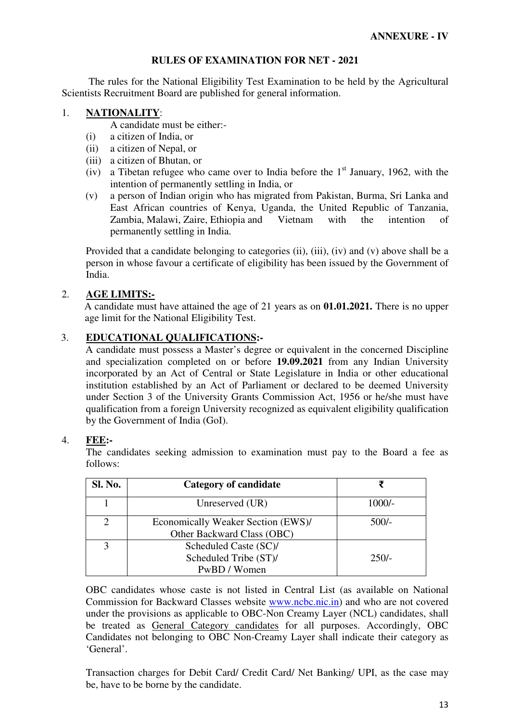### **RULES OF EXAMINATION FOR NET - 2021**

 The rules for the National Eligibility Test Examination to be held by the Agricultural Scientists Recruitment Board are published for general information.

### 1. **NATIONALITY**:

A candidate must be either:-

- (i) a citizen of India, or
- (ii) a citizen of Nepal, or
- (iii) a citizen of Bhutan, or
- (iv) a Tibetan refugee who came over to India before the  $1<sup>st</sup>$  January, 1962, with the intention of permanently settling in India, or
- (v) a person of Indian origin who has migrated from Pakistan, Burma, Sri Lanka and East African countries of Kenya, Uganda, the United Republic of Tanzania, Zambia, Malawi, Zaire, Ethiopia and Vietnam with the intention of permanently settling in India.

Provided that a candidate belonging to categories (ii), (iii), (iv) and (v) above shall be a person in whose favour a certificate of eligibility has been issued by the Government of India.

## 2. **AGE LIMITS:-**

A candidate must have attained the age of 21 years as on **01.01.2021.** There is no upper age limit for the National Eligibility Test.

## 3. **EDUCATIONAL QUALIFICATIONS:-**

A candidate must possess a Master's degree or equivalent in the concerned Discipline and specialization completed on or before **19.09.2021** from any Indian University incorporated by an Act of Central or State Legislature in India or other educational institution established by an Act of Parliament or declared to be deemed University under Section 3 of the University Grants Commission Act, 1956 or he/she must have qualification from a foreign University recognized as equivalent eligibility qualification by the Government of India (GoI).

#### 4. **FEE:-**

 The candidates seeking admission to examination must pay to the Board a fee as follows:

| Sl. No. | Category of candidate              |          |
|---------|------------------------------------|----------|
|         | Unreserved (UR)                    | $1000/-$ |
|         | Economically Weaker Section (EWS)/ | $500/-$  |
|         | Other Backward Class (OBC)         |          |
|         | Scheduled Caste (SC)/              |          |
|         | Scheduled Tribe (ST)/              | $250/-$  |
|         | PwBD / Women                       |          |

OBC candidates whose caste is not listed in Central List (as available on National Commission for Backward Classes website www.ncbc.nic.in) and who are not covered under the provisions as applicable to OBC-Non Creamy Layer (NCL) candidates, shall be treated as General Category candidates for all purposes. Accordingly, OBC Candidates not belonging to OBC Non-Creamy Layer shall indicate their category as 'General'.

Transaction charges for Debit Card/ Credit Card/ Net Banking/ UPI, as the case may be, have to be borne by the candidate.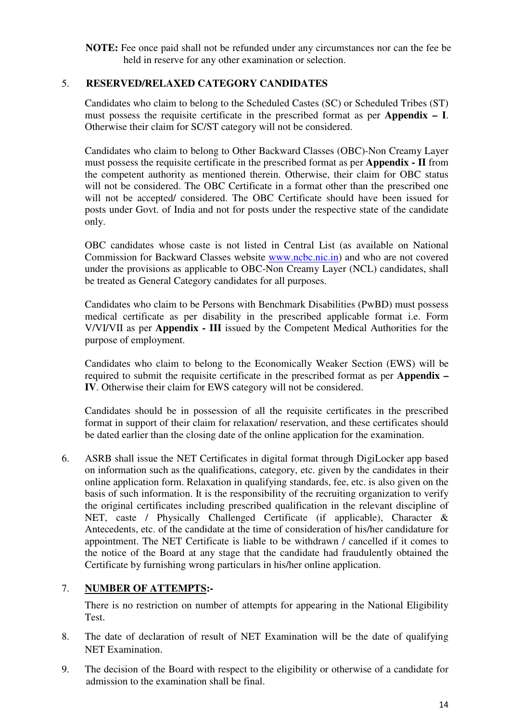**NOTE:** Fee once paid shall not be refunded under any circumstances nor can the fee be held in reserve for any other examination or selection.

## 5. **RESERVED/RELAXED CATEGORY CANDIDATES**

Candidates who claim to belong to the Scheduled Castes (SC) or Scheduled Tribes (ST) must possess the requisite certificate in the prescribed format as per **Appendix – I**. Otherwise their claim for SC/ST category will not be considered.

Candidates who claim to belong to Other Backward Classes (OBC)-Non Creamy Layer must possess the requisite certificate in the prescribed format as per **Appendix - II** from the competent authority as mentioned therein. Otherwise, their claim for OBC status will not be considered. The OBC Certificate in a format other than the prescribed one will not be accepted/ considered. The OBC Certificate should have been issued for posts under Govt. of India and not for posts under the respective state of the candidate only.

OBC candidates whose caste is not listed in Central List (as available on National Commission for Backward Classes website www.ncbc.nic.in) and who are not covered under the provisions as applicable to OBC-Non Creamy Layer (NCL) candidates, shall be treated as General Category candidates for all purposes.

Candidates who claim to be Persons with Benchmark Disabilities (PwBD) must possess medical certificate as per disability in the prescribed applicable format i.e. Form V/VI/VII as per **Appendix - III** issued by the Competent Medical Authorities for the purpose of employment.

Candidates who claim to belong to the Economically Weaker Section (EWS) will be required to submit the requisite certificate in the prescribed format as per **Appendix – IV**. Otherwise their claim for EWS category will not be considered.

Candidates should be in possession of all the requisite certificates in the prescribed format in support of their claim for relaxation/ reservation, and these certificates should be dated earlier than the closing date of the online application for the examination.

6. ASRB shall issue the NET Certificates in digital format through DigiLocker app based on information such as the qualifications, category, etc. given by the candidates in their online application form. Relaxation in qualifying standards, fee, etc. is also given on the basis of such information. It is the responsibility of the recruiting organization to verify the original certificates including prescribed qualification in the relevant discipline of NET, caste / Physically Challenged Certificate (if applicable), Character & Antecedents, etc. of the candidate at the time of consideration of his/her candidature for appointment. The NET Certificate is liable to be withdrawn / cancelled if it comes to the notice of the Board at any stage that the candidate had fraudulently obtained the Certificate by furnishing wrong particulars in his/her online application.

## 7. **NUMBER OF ATTEMPTS:-**

There is no restriction on number of attempts for appearing in the National Eligibility Test.

- 8. The date of declaration of result of NET Examination will be the date of qualifying NET Examination.
- 9. The decision of the Board with respect to the eligibility or otherwise of a candidate for admission to the examination shall be final.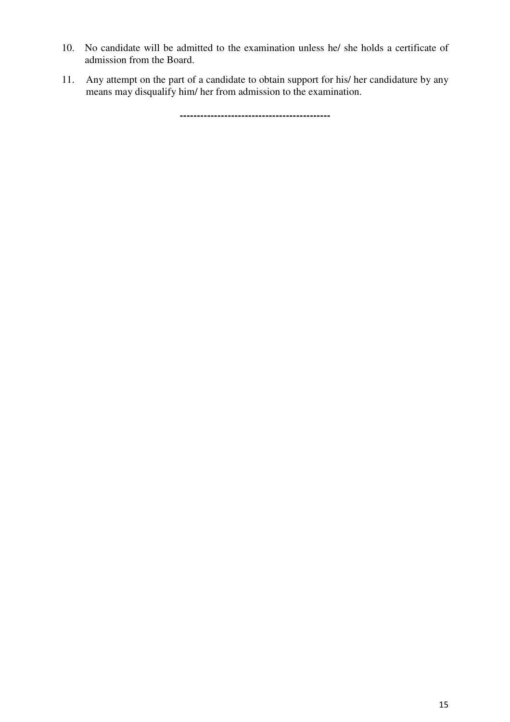- 10. No candidate will be admitted to the examination unless he/ she holds a certificate of admission from the Board.
- 11. Any attempt on the part of a candidate to obtain support for his/ her candidature by any means may disqualify him/ her from admission to the examination.

**--------------------------------------------**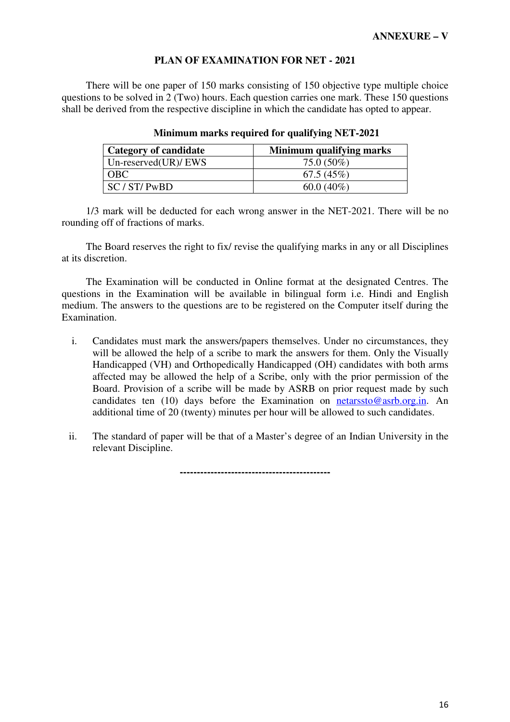#### **PLAN OF EXAMINATION FOR NET - 2021**

There will be one paper of 150 marks consisting of 150 objective type multiple choice questions to be solved in 2 (Two) hours. Each question carries one mark. These 150 questions shall be derived from the respective discipline in which the candidate has opted to appear.

| <b>Category of candidate</b> | Minimum qualifying marks |
|------------------------------|--------------------------|
| Un-reserved $(UR)/EWS$       | $75.0(50\%)$             |
| <b>OBC</b>                   | 67.5(45%)                |
| SC/ST/ PwBD                  | $60.0(40\%)$             |

#### **Minimum marks required for qualifying NET-2021**

1/3 mark will be deducted for each wrong answer in the NET-2021. There will be no rounding off of fractions of marks.

The Board reserves the right to fix/ revise the qualifying marks in any or all Disciplines at its discretion.

The Examination will be conducted in Online format at the designated Centres. The questions in the Examination will be available in bilingual form i.e. Hindi and English medium. The answers to the questions are to be registered on the Computer itself during the Examination.

- i. Candidates must mark the answers/papers themselves. Under no circumstances, they will be allowed the help of a scribe to mark the answers for them. Only the Visually Handicapped (VH) and Orthopedically Handicapped (OH) candidates with both arms affected may be allowed the help of a Scribe, only with the prior permission of the Board. Provision of a scribe will be made by ASRB on prior request made by such candidates ten (10) days before the Examination on netarssto@asrb.org.in. An additional time of 20 (twenty) minutes per hour will be allowed to such candidates.
- ii. The standard of paper will be that of a Master's degree of an Indian University in the relevant Discipline.

**--------------------------------------------**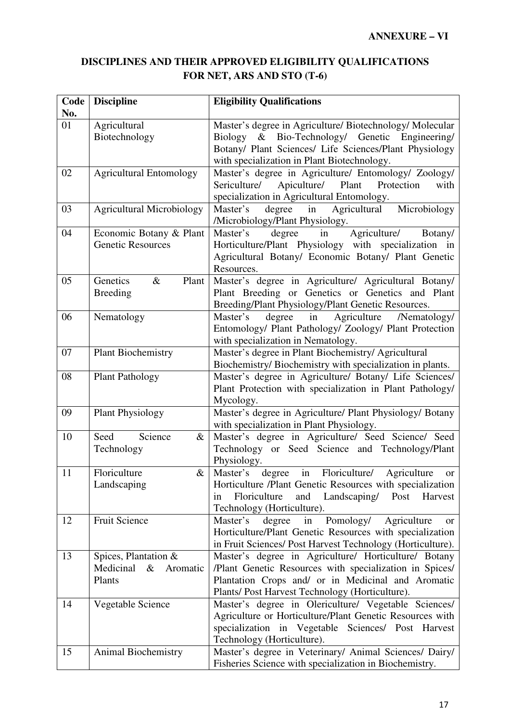# **DISCIPLINES AND THEIR APPROVED ELIGIBILITY QUALIFICATIONS FOR NET, ARS AND STO (T-6)**

| Code<br>No. | <b>Discipline</b>                                   | <b>Eligibility Qualifications</b>                                                                           |  |  |  |
|-------------|-----------------------------------------------------|-------------------------------------------------------------------------------------------------------------|--|--|--|
| 01          | Agricultural                                        | Master's degree in Agriculture/ Biotechnology/ Molecular                                                    |  |  |  |
|             | Biotechnology                                       | Biology & Bio-Technology/ Genetic Engineering/                                                              |  |  |  |
|             |                                                     | Botany/ Plant Sciences/ Life Sciences/Plant Physiology                                                      |  |  |  |
|             |                                                     | with specialization in Plant Biotechnology.                                                                 |  |  |  |
| 02          | <b>Agricultural Entomology</b>                      | Master's degree in Agriculture/ Entomology/ Zoology/                                                        |  |  |  |
|             |                                                     | Apiculture/ Plant Protection<br>Sericulture/<br>with                                                        |  |  |  |
|             |                                                     | specialization in Agricultural Entomology.                                                                  |  |  |  |
| 03          | <b>Agricultural Microbiology</b>                    | Agricultural<br>Microbiology<br>Master's<br>degree in                                                       |  |  |  |
|             |                                                     | /Microbiology/Plant Physiology.                                                                             |  |  |  |
| 04          | Economic Botany & Plant<br><b>Genetic Resources</b> | degree<br>Agriculture/<br>Master's<br>in<br>Botany/                                                         |  |  |  |
|             |                                                     | Horticulture/Plant Physiology with specialization in<br>Agricultural Botany/ Economic Botany/ Plant Genetic |  |  |  |
|             |                                                     | Resources.                                                                                                  |  |  |  |
| 05          | Genetics<br>Plant<br>$\&$                           | Master's degree in Agriculture/ Agricultural Botany/                                                        |  |  |  |
|             | <b>Breeding</b>                                     | Plant Breeding or Genetics or Genetics and Plant                                                            |  |  |  |
|             |                                                     | Breeding/Plant Physiology/Plant Genetic Resources.                                                          |  |  |  |
| 06          | Nematology                                          | Agriculture<br>degree<br>in<br>/Nematology/<br>Master's                                                     |  |  |  |
|             |                                                     | Entomology/ Plant Pathology/ Zoology/ Plant Protection                                                      |  |  |  |
|             |                                                     | with specialization in Nematology.                                                                          |  |  |  |
| 07          | <b>Plant Biochemistry</b>                           | Master's degree in Plant Biochemistry/ Agricultural                                                         |  |  |  |
|             |                                                     | Biochemistry/ Biochemistry with specialization in plants.                                                   |  |  |  |
| 08          | <b>Plant Pathology</b>                              | Master's degree in Agriculture/ Botany/ Life Sciences/                                                      |  |  |  |
|             |                                                     | Plant Protection with specialization in Plant Pathology/                                                    |  |  |  |
| 09          | <b>Plant Physiology</b>                             | Mycology.<br>Master's degree in Agriculture/ Plant Physiology/ Botany                                       |  |  |  |
|             |                                                     | with specialization in Plant Physiology.                                                                    |  |  |  |
| 10          | Science<br>Seed<br>&                                | Master's degree in Agriculture/ Seed Science/ Seed                                                          |  |  |  |
|             | Technology                                          | Technology or Seed Science and Technology/Plant                                                             |  |  |  |
|             |                                                     | Physiology.                                                                                                 |  |  |  |
| 11          | Floriculture<br>$\&$                                | in<br>Floriculture/<br>Master's degree<br>Agriculture<br>or                                                 |  |  |  |
|             | Landscaping                                         | Horticulture /Plant Genetic Resources with specialization                                                   |  |  |  |
|             |                                                     | Floriculture<br>and<br>Landscaping/<br>Post<br>Harvest<br>in<br>Technology (Horticulture).                  |  |  |  |
| 12          | <b>Fruit Science</b>                                | Agriculture<br>Pomology/<br>Master's<br>degree<br>in<br><b>or</b>                                           |  |  |  |
|             |                                                     | Horticulture/Plant Genetic Resources with specialization                                                    |  |  |  |
|             |                                                     | in Fruit Sciences/ Post Harvest Technology (Horticulture).                                                  |  |  |  |
| 13          | Spices, Plantation &                                | Master's degree in Agriculture/ Horticulture/ Botany                                                        |  |  |  |
|             | & Aromatic<br>Medicinal                             | /Plant Genetic Resources with specialization in Spices/                                                     |  |  |  |
|             | Plants                                              | Plantation Crops and/ or in Medicinal and Aromatic                                                          |  |  |  |
|             |                                                     | Plants/ Post Harvest Technology (Horticulture).                                                             |  |  |  |
| 14          | Vegetable Science                                   | Master's degree in Olericulture/ Vegetable Sciences/                                                        |  |  |  |
|             |                                                     | Agriculture or Horticulture/Plant Genetic Resources with                                                    |  |  |  |
|             |                                                     | specialization in Vegetable Sciences/ Post Harvest                                                          |  |  |  |
| 15          | Animal Biochemistry                                 | Technology (Horticulture).<br>Master's degree in Veterinary/ Animal Sciences/ Dairy/                        |  |  |  |
|             |                                                     | Fisheries Science with specialization in Biochemistry.                                                      |  |  |  |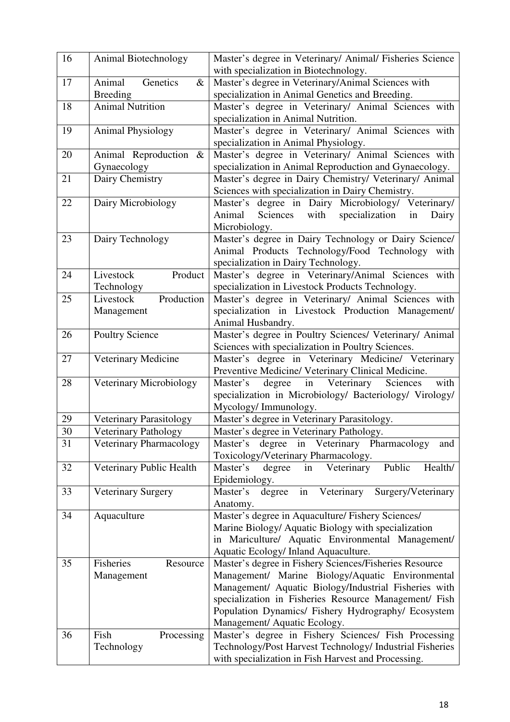| 16 | Animal Biotechnology                          | Master's degree in Veterinary/ Animal/ Fisheries Science<br>with specialization in Biotechnology.                                                                                                                                                                                                                   |  |  |
|----|-----------------------------------------------|---------------------------------------------------------------------------------------------------------------------------------------------------------------------------------------------------------------------------------------------------------------------------------------------------------------------|--|--|
| 17 | Genetics<br>Animal<br>$\&$<br><b>Breeding</b> | Master's degree in Veterinary/Animal Sciences with<br>specialization in Animal Genetics and Breeding.                                                                                                                                                                                                               |  |  |
| 18 | <b>Animal Nutrition</b>                       | Master's degree in Veterinary/ Animal Sciences with<br>specialization in Animal Nutrition.                                                                                                                                                                                                                          |  |  |
| 19 | <b>Animal Physiology</b>                      | Master's degree in Veterinary/ Animal Sciences with<br>specialization in Animal Physiology.                                                                                                                                                                                                                         |  |  |
| 20 | Animal Reproduction &<br>Gynaecology          | Master's degree in Veterinary/ Animal Sciences with<br>specialization in Animal Reproduction and Gynaecology.                                                                                                                                                                                                       |  |  |
| 21 | Dairy Chemistry                               | Master's degree in Dairy Chemistry/ Veterinary/ Animal<br>Sciences with specialization in Dairy Chemistry.                                                                                                                                                                                                          |  |  |
| 22 | Dairy Microbiology                            | Master's degree in Dairy Microbiology/ Veterinary/<br>Animal<br>Sciences<br>with<br>specialization<br>Dairy<br>in<br>Microbiology.                                                                                                                                                                                  |  |  |
| 23 | Dairy Technology                              | Master's degree in Dairy Technology or Dairy Science/<br>Animal Products Technology/Food Technology with<br>specialization in Dairy Technology.                                                                                                                                                                     |  |  |
| 24 | Product<br>Livestock<br>Technology            | Master's degree in Veterinary/Animal Sciences with<br>specialization in Livestock Products Technology.                                                                                                                                                                                                              |  |  |
| 25 | Production<br>Livestock<br>Management         | Master's degree in Veterinary/ Animal Sciences with<br>specialization in Livestock Production Management/<br>Animal Husbandry.                                                                                                                                                                                      |  |  |
| 26 | <b>Poultry Science</b>                        | Master's degree in Poultry Sciences/ Veterinary/ Animal<br>Sciences with specialization in Poultry Sciences.                                                                                                                                                                                                        |  |  |
| 27 | Veterinary Medicine                           | Master's degree in Veterinary Medicine/ Veterinary<br>Preventive Medicine/ Veterinary Clinical Medicine.                                                                                                                                                                                                            |  |  |
| 28 | Veterinary Microbiology                       | in Veterinary<br>with<br>Master's<br>degree<br>Sciences<br>specialization in Microbiology/ Bacteriology/ Virology/<br>Mycology/Immunology.                                                                                                                                                                          |  |  |
| 29 | Veterinary Parasitology                       | Master's degree in Veterinary Parasitology.                                                                                                                                                                                                                                                                         |  |  |
| 30 | Veterinary Pathology                          | Master's degree in Veterinary Pathology.                                                                                                                                                                                                                                                                            |  |  |
| 31 | Veterinary Pharmacology                       | degree in Veterinary Pharmacology<br>Master's<br>and<br>Toxicology/Veterinary Pharmacology.                                                                                                                                                                                                                         |  |  |
| 32 | Veterinary Public Health                      | Master's<br>Public<br>Health/<br>Veterinary<br>degree<br>in<br>Epidemiology.                                                                                                                                                                                                                                        |  |  |
| 33 | <b>Veterinary Surgery</b>                     | in<br>Veterinary<br>Surgery/Veterinary<br>Master's<br>degree<br>Anatomy.                                                                                                                                                                                                                                            |  |  |
| 34 | Aquaculture                                   | Master's degree in Aquaculture/ Fishery Sciences/<br>Marine Biology/ Aquatic Biology with specialization<br>in Mariculture/ Aquatic Environmental Management/<br>Aquatic Ecology/ Inland Aquaculture.                                                                                                               |  |  |
| 35 | Fisheries<br>Resource<br>Management           | Master's degree in Fishery Sciences/Fisheries Resource<br>Management/ Marine Biology/Aquatic Environmental<br>Management/ Aquatic Biology/Industrial Fisheries with<br>specialization in Fisheries Resource Management/ Fish<br>Population Dynamics/ Fishery Hydrography/ Ecosystem<br>Management/ Aquatic Ecology. |  |  |
| 36 | Fish<br>Processing<br>Technology              | Master's degree in Fishery Sciences/ Fish Processing<br>Technology/Post Harvest Technology/ Industrial Fisheries<br>with specialization in Fish Harvest and Processing.                                                                                                                                             |  |  |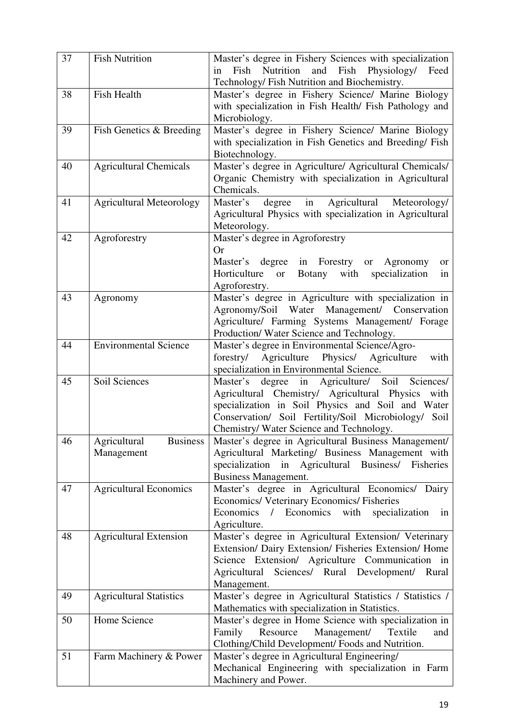| 37 | <b>Fish Nutrition</b>                         | Master's degree in Fishery Sciences with specialization<br>Fish<br>Nutrition<br>and Fish Physiology/ Feed<br>in<br>Technology/ Fish Nutrition and Biochemistry.                                                                                                             |
|----|-----------------------------------------------|-----------------------------------------------------------------------------------------------------------------------------------------------------------------------------------------------------------------------------------------------------------------------------|
| 38 | <b>Fish Health</b>                            | Master's degree in Fishery Science/ Marine Biology<br>with specialization in Fish Health/ Fish Pathology and<br>Microbiology.                                                                                                                                               |
| 39 | Fish Genetics & Breeding                      | Master's degree in Fishery Science/ Marine Biology<br>with specialization in Fish Genetics and Breeding/ Fish<br>Biotechnology.                                                                                                                                             |
| 40 | <b>Agricultural Chemicals</b>                 | Master's degree in Agriculture/ Agricultural Chemicals/<br>Organic Chemistry with specialization in Agricultural<br>Chemicals.                                                                                                                                              |
| 41 | <b>Agricultural Meteorology</b>               | Master's<br>degree<br>in<br>Agricultural<br>Meteorology/<br>Agricultural Physics with specialization in Agricultural<br>Meteorology.                                                                                                                                        |
| 42 | Agroforestry                                  | Master's degree in Agroforestry<br><b>Or</b><br>Master's degree in Forestry or<br>Agronomy<br><b>or</b><br>or Botany with<br>Horticulture<br>specialization<br>in<br>Agroforestry.                                                                                          |
| 43 | Agronomy                                      | Master's degree in Agriculture with specialization in<br>Agronomy/Soil Water Management/ Conservation<br>Agriculture/ Farming Systems Management/ Forage<br>Production/Water Science and Technology.                                                                        |
| 44 | <b>Environmental Science</b>                  | Master's degree in Environmental Science/Agro-<br>Agriculture<br>Physics/ Agriculture<br>forestry/<br>with<br>specialization in Environmental Science.                                                                                                                      |
| 45 | Soil Sciences                                 | Sciences/<br>Agriculture/ Soil<br>Master's<br>degree<br>in<br>Agricultural Chemistry/ Agricultural Physics with<br>specialization in Soil Physics and Soil and Water<br>Conservation/ Soil Fertility/Soil Microbiology/<br>Soil<br>Chemistry/ Water Science and Technology. |
| 46 | <b>Business</b><br>Agricultural<br>Management | Master's degree in Agricultural Business Management/<br>Agricultural Marketing/ Business Management with<br>specialization in Agricultural Business/ Fisheries<br>Business Management.                                                                                      |
| 47 | <b>Agricultural Economics</b>                 | Master's degree in Agricultural Economics/ Dairy<br>Economics/ Veterinary Economics/ Fisheries<br>Economics / Economics with<br>specialization<br>in<br>Agriculture.                                                                                                        |
| 48 | <b>Agricultural Extension</b>                 | Master's degree in Agricultural Extension/ Veterinary<br>Extension/ Dairy Extension/ Fisheries Extension/ Home<br>Science Extension/ Agriculture Communication in<br>Sciences/ Rural Development/<br>Agricultural<br>Rural<br>Management.                                   |
| 49 | <b>Agricultural Statistics</b>                | Master's degree in Agricultural Statistics / Statistics /<br>Mathematics with specialization in Statistics.                                                                                                                                                                 |
| 50 | Home Science                                  | Master's degree in Home Science with specialization in<br>Family<br>Resource<br>Management/<br>Textile<br>and<br>Clothing/Child Development/ Foods and Nutrition.                                                                                                           |
| 51 | Farm Machinery & Power                        | Master's degree in Agricultural Engineering/<br>Mechanical Engineering with specialization in Farm<br>Machinery and Power.                                                                                                                                                  |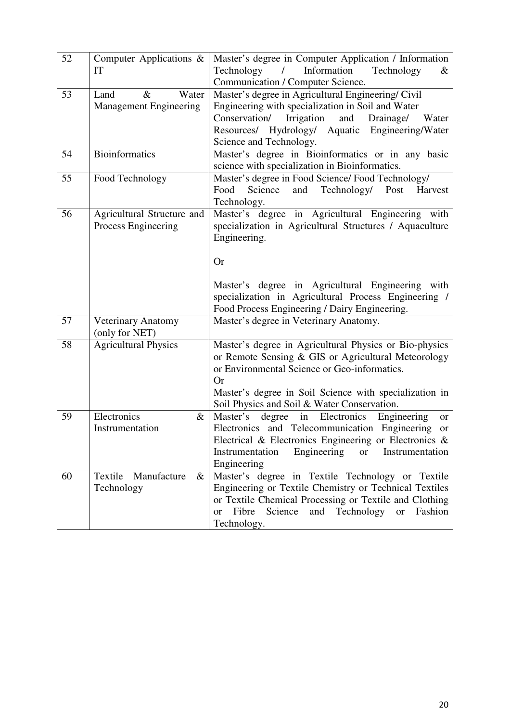| 52 | Computer Applications $\&$<br>IT                       | Master's degree in Computer Application / Information<br>Information<br>Technology<br>Technology<br>$\prime$<br>&<br>Communication / Computer Science.                                                                                                                              |  |  |  |
|----|--------------------------------------------------------|-------------------------------------------------------------------------------------------------------------------------------------------------------------------------------------------------------------------------------------------------------------------------------------|--|--|--|
| 53 | $\&$<br>Water<br>Land<br><b>Management Engineering</b> | Master's degree in Agricultural Engineering/ Civil<br>Engineering with specialization in Soil and Water<br>Conservation/<br>Irrigation<br>and<br>Drainage/<br>Water<br>Resources/ Hydrology/ Aquatic Engineering/Water<br>Science and Technology.                                   |  |  |  |
| 54 | <b>Bioinformatics</b>                                  | Master's degree in Bioinformatics or in any basic<br>science with specialization in Bioinformatics.                                                                                                                                                                                 |  |  |  |
| 55 | Food Technology                                        | Master's degree in Food Science/ Food Technology/<br>Science<br>and<br>Technology/ Post<br>Food<br>Harvest<br>Technology.                                                                                                                                                           |  |  |  |
| 56 | Agricultural Structure and<br>Process Engineering      | Master's degree in Agricultural Engineering with<br>specialization in Agricultural Structures / Aquaculture<br>Engineering.<br><b>Or</b>                                                                                                                                            |  |  |  |
|    |                                                        | Master's degree in Agricultural Engineering with<br>specialization in Agricultural Process Engineering /<br>Food Process Engineering / Dairy Engineering.                                                                                                                           |  |  |  |
| 57 | Veterinary Anatomy<br>(only for NET)                   | Master's degree in Veterinary Anatomy.                                                                                                                                                                                                                                              |  |  |  |
| 58 | <b>Agricultural Physics</b>                            | Master's degree in Agricultural Physics or Bio-physics<br>or Remote Sensing & GIS or Agricultural Meteorology<br>or Environmental Science or Geo-informatics.<br><b>Or</b><br>Master's degree in Soil Science with specialization in<br>Soil Physics and Soil & Water Conservation. |  |  |  |
| 59 | Electronics<br>$\&$<br>Instrumentation                 | Master's<br>degree<br>in<br>Electronics<br>Engineering<br><b>or</b><br>Electronics and Telecommunication Engineering<br><b>or</b><br>Electrical & Electronics Engineering or Electronics $\&$<br>Engineering<br>Instrumentation<br>Instrumentation<br><b>or</b><br>Engineering      |  |  |  |
| 60 | Textile<br>Manufacture<br>$\&$<br>Technology           | Master's degree in Textile Technology or Textile<br>Engineering or Textile Chemistry or Technical Textiles<br>or Textile Chemical Processing or Textile and Clothing<br>and Technology<br>Fibre<br>Science<br><sub>or</sub><br>Fashion<br>or<br>Technology.                         |  |  |  |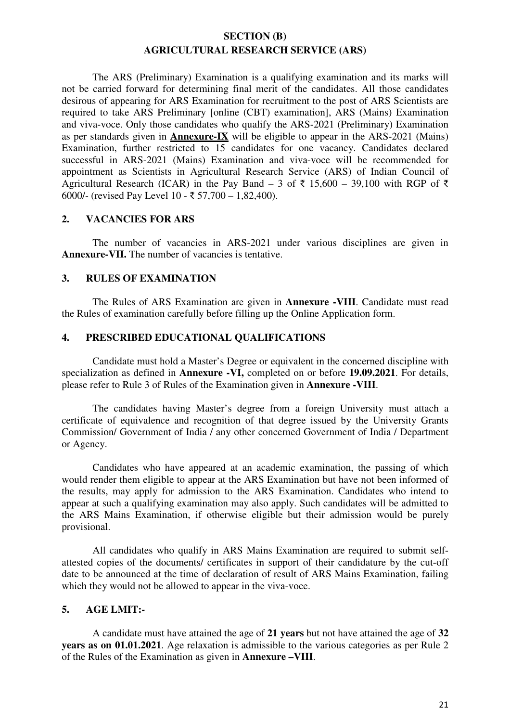## **SECTION (B) AGRICULTURAL RESEARCH SERVICE (ARS)**

 The ARS (Preliminary) Examination is a qualifying examination and its marks will not be carried forward for determining final merit of the candidates. All those candidates desirous of appearing for ARS Examination for recruitment to the post of ARS Scientists are required to take ARS Preliminary [online (CBT) examination], ARS (Mains) Examination and viva-voce. Only those candidates who qualify the ARS-2021 (Preliminary) Examination as per standards given in **Annexure-IX** will be eligible to appear in the ARS-2021 (Mains) Examination, further restricted to 15 candidates for one vacancy. Candidates declared successful in ARS-2021 (Mains) Examination and viva-voce will be recommended for appointment as Scientists in Agricultural Research Service (ARS) of Indian Council of Agricultural Research (ICAR) in the Pay Band – 3 of  $\bar{\tau}$  15,600 – 39,100 with RGP of  $\bar{\tau}$ 6000/- (revised Pay Level 10 - ₹ 57,700 – 1,82,400).

#### **2. VACANCIES FOR ARS**

 The number of vacancies in ARS-2021 under various disciplines are given in Annexure-VII. The number of vacancies is tentative.

## **3. RULES OF EXAMINATION**

 The Rules of ARS Examination are given in **Annexure -VIII**. Candidate must read the Rules of examination carefully before filling up the Online Application form.

### **4. PRESCRIBED EDUCATIONAL QUALIFICATIONS**

Candidate must hold a Master's Degree or equivalent in the concerned discipline with specialization as defined in **Annexure -VI,** completed on or before **19.09.2021**. For details, please refer to Rule 3 of Rules of the Examination given in **Annexure -VIII**.

 The candidates having Master's degree from a foreign University must attach a certificate of equivalence and recognition of that degree issued by the University Grants Commission/ Government of India / any other concerned Government of India / Department or Agency.

 Candidates who have appeared at an academic examination, the passing of which would render them eligible to appear at the ARS Examination but have not been informed of the results, may apply for admission to the ARS Examination. Candidates who intend to appear at such a qualifying examination may also apply. Such candidates will be admitted to the ARS Mains Examination, if otherwise eligible but their admission would be purely provisional.

 All candidates who qualify in ARS Mains Examination are required to submit selfattested copies of the documents/ certificates in support of their candidature by the cut-off date to be announced at the time of declaration of result of ARS Mains Examination, failing which they would not be allowed to appear in the viva-voce.

## **5. AGE LMIT:-**

A candidate must have attained the age of **21 years** but not have attained the age of **32 years as on 01.01.2021**. Age relaxation is admissible to the various categories as per Rule 2 of the Rules of the Examination as given in **Annexure –VIII**.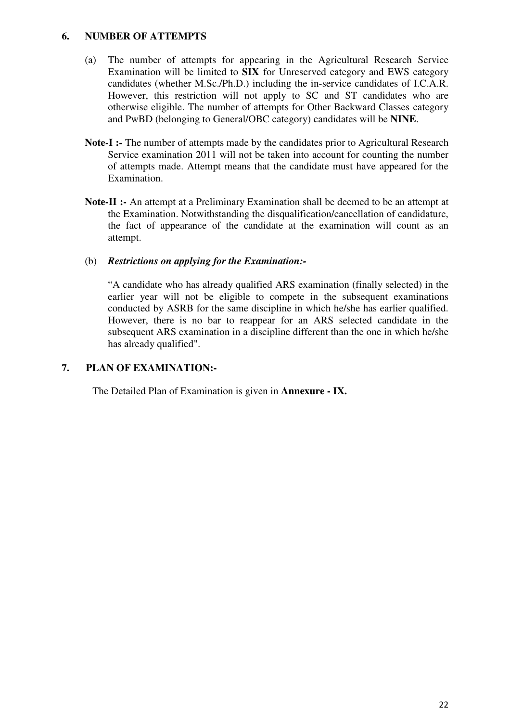#### **6. NUMBER OF ATTEMPTS**

- (a) The number of attempts for appearing in the Agricultural Research Service Examination will be limited to **SIX** for Unreserved category and EWS category candidates (whether M.Sc./Ph.D.) including the in-service candidates of I.C.A.R. However, this restriction will not apply to SC and ST candidates who are otherwise eligible. The number of attempts for Other Backward Classes category and PwBD (belonging to General/OBC category) candidates will be **NINE**.
- Note-I :- The number of attempts made by the candidates prior to Agricultural Research Service examination 2011 will not be taken into account for counting the number of attempts made. Attempt means that the candidate must have appeared for the Examination.
- **Note-II :-** An attempt at a Preliminary Examination shall be deemed to be an attempt at the Examination. Notwithstanding the disqualification/cancellation of candidature, the fact of appearance of the candidate at the examination will count as an attempt.

### (b) *Restrictions on applying for the Examination:-*

"A candidate who has already qualified ARS examination (finally selected) in the earlier year will not be eligible to compete in the subsequent examinations conducted by ASRB for the same discipline in which he/she has earlier qualified. However, there is no bar to reappear for an ARS selected candidate in the subsequent ARS examination in a discipline different than the one in which he/she has already qualified".

## **7. PLAN OF EXAMINATION:-**

The Detailed Plan of Examination is given in **Annexure - IX.**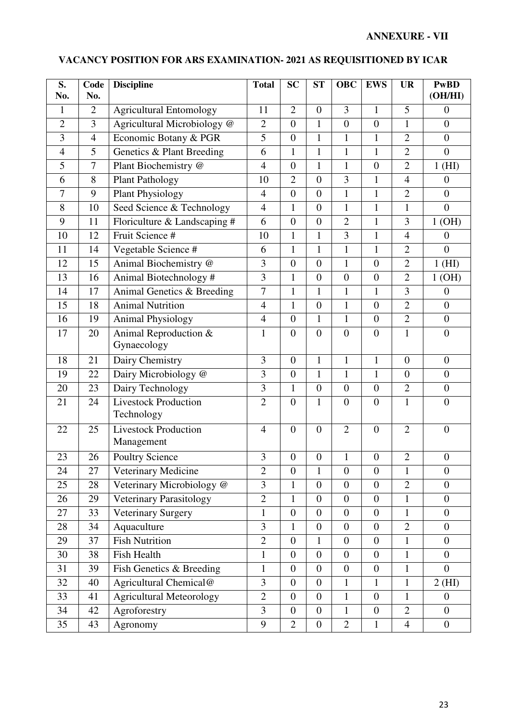### **S. No. Code No. Discipline** Total SC ST OBC **EWS** UR PwBD **(OH/HI)**  1 2 Agricultural Entomology 11 2 0 3 1 5 0 2 3 Agricultural Microbiology @ 2 0 1 0 0 1 0 3 4 Economic Botany & PGR 5 0 1 1 1 2 0 4 5 Genetics & Plant Breeding 6 1 1 1 1 2 0 5 7 Plant Biochemistry @ 4 0 1 1 0 2 1 (HI) 6 8 Plant Pathology 10 2 0 3 1 4 0 7 9 Plant Physiology 4 0 0 1 1 2 0 8 10 Seed Science & Technology 4 1 0 1 1 1 0 9 11 | Floriculture & Landscaping  $\#\begin{bmatrix} 6 & 0 & 0 & 2 & 1 & 3 & 1 \end{bmatrix}$ 10 | 12 | Fruit Science # 10 | 1 | 1 | 3 | 1 | 4 | 0 11 14 Vegetable Science # 6 1 1 1 1 2 0 12 15 Animal Biochemistry @ 3 0 0 1 0 2 1 (HI) 13 16 Animal Biotechnology # 3 1 0 0 0 2 1 (OH) 14 17 Animal Genetics & Breeding 7 1 1 1 1 1 3 0 15 18 Animal Nutrition 4 1 0 1 0 2 0 16 | 19 | Animal Physiology | 4 | 0 | 1 | 1 | 0 | 2 | 0 17 20 Animal Reproduction & Gynaecology  $1 \mid 0 \mid 0 \mid 0 \mid 0 \mid 1 \mid 0$ 18 | 21 | Dairy Chemistry | 3 | 0 | 1 | 1 | 1 | 0 | 0 19 | 22 | Dairy Microbiology @ | 3 | 0 | 1 | 1 | 1 | 0 | 0 20 23 Dairy Technology 3 1 0 0 0 2 0 21 24 Livestock Production Technology 2 0 1 0 0 1 0 22 25 Livestock Production Management 4 0 0 2 0 2 0 23 26 Poultry Science 3 0 0 1 0 2 0 24 27 Veterinary Medicine 2 0 1 0 0 1 0  $25 \quad 28$  Veterinary Microbiology @ 3 1 0 0 0 2 0 26 29 Veterinary Parasitology 2 1 0 0 0 1 0 27 33 Veterinary Surgery 1 0 0 0 0 1 0 28 34 Aquaculture 3 1 0 0 0 2 0 29 37 Fish Nutrition 2 0 1 0 0 1 0 30 38 Fish Health 1 0 0 0 0 1 0 31 39 Fish Genetics & Breeding 1 0 0 0 0 1 0 1 0  $32 \quad 40$  Agricultural Chemical @ 3 0 0 1 1 1 2 (HI) 33 41 Agricultural Meteorology 2 0 0 1 0 1 0 1 0 34 42 Agroforestry 3 0 0 1 0 2 0 35 | 43 | Agronomy | 9 | 2 | 0 | 2 | 1 | 4 | 0

Ι

#### **VACANCY POSITION FOR ARS EXAMINATION- 2021 AS REQUISITIONED BY ICAR**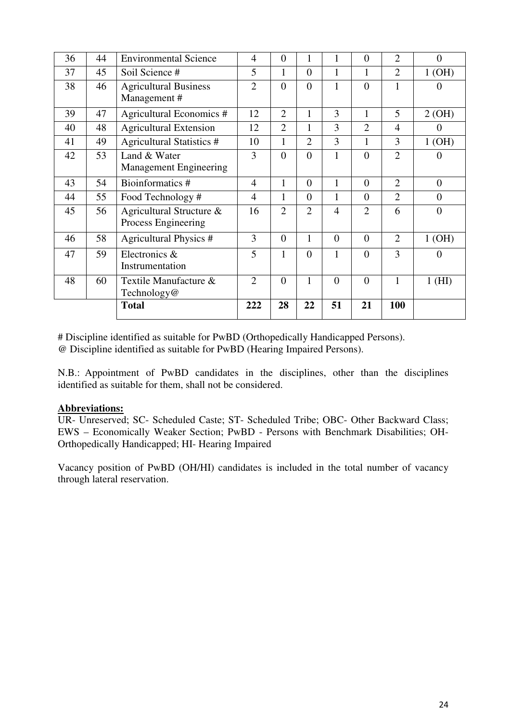|    |    | <b>Total</b>                                    | 222            | 28             | 22             | 51             | 21             | 100            |                |
|----|----|-------------------------------------------------|----------------|----------------|----------------|----------------|----------------|----------------|----------------|
| 48 | 60 | Textile Manufacture &<br>Technology@            | $\overline{2}$ | $\theta$       | 1              | $\theta$       | $\theta$       | $\mathbf{1}$   | $1$ (HI)       |
| 47 | 59 | Electronics &<br>Instrumentation                | 5              | 1              | $\theta$       | 1              | $\theta$       | 3              | $\Omega$       |
| 46 | 58 | <b>Agricultural Physics #</b>                   | 3              | $\theta$       | 1              | $\theta$       | $\theta$       | $\overline{2}$ | 1(OH)          |
| 45 | 56 | Agricultural Structure &<br>Process Engineering | 16             | $\overline{2}$ | $\overline{2}$ | $\overline{4}$ | $\overline{2}$ | 6              | $\Omega$       |
| 44 | 55 | Food Technology#                                | $\overline{4}$ | 1              | $\overline{0}$ | 1              | $\theta$       | $\overline{2}$ | $\overline{0}$ |
| 43 | 54 | Bioinformatics #                                | $\overline{4}$ | $\mathbf{1}$   | $\Omega$       | 1              | $\theta$       | $\overline{2}$ | $\overline{0}$ |
| 42 | 53 | Land & Water<br><b>Management Engineering</b>   | 3              | $\overline{0}$ | $\overline{0}$ | 1              | $\theta$       | $\overline{2}$ | $\theta$       |
| 41 | 49 | <b>Agricultural Statistics #</b>                | 10             | 1              | $\overline{2}$ | 3              | 1              | 3              | 1(OH)          |
| 40 | 48 | <b>Agricultural Extension</b>                   | 12             | $\overline{2}$ | 1              | 3              | $\overline{2}$ | $\overline{4}$ | $\theta$       |
| 39 | 47 | Agricultural Economics #                        | 12             | $\overline{2}$ | 1              | 3              | $\mathbf{1}$   | 5              | 2(OH)          |
| 38 | 46 | <b>Agricultural Business</b><br>Management#     | $\overline{2}$ | $\overline{0}$ | $\overline{0}$ | 1              | $\overline{0}$ | $\mathbf{1}$   | $\theta$       |
| 37 | 45 | Soil Science #                                  | 5              | 1              | $\Omega$       | 1              | 1              | $\overline{2}$ | 1(OH)          |
| 36 | 44 | <b>Environmental Science</b>                    | 4              | $\overline{0}$ | 1              | 1              | $\theta$       | $\overline{2}$ | $\overline{0}$ |

# Discipline identified as suitable for PwBD (Orthopedically Handicapped Persons). @ Discipline identified as suitable for PwBD (Hearing Impaired Persons).

N.B.: Appointment of PwBD candidates in the disciplines, other than the disciplines identified as suitable for them, shall not be considered.

## **Abbreviations:**

UR- Unreserved; SC- Scheduled Caste; ST- Scheduled Tribe; OBC- Other Backward Class; EWS – Economically Weaker Section; PwBD - Persons with Benchmark Disabilities; OH-Orthopedically Handicapped; HI- Hearing Impaired

Vacancy position of PwBD (OH/HI) candidates is included in the total number of vacancy through lateral reservation.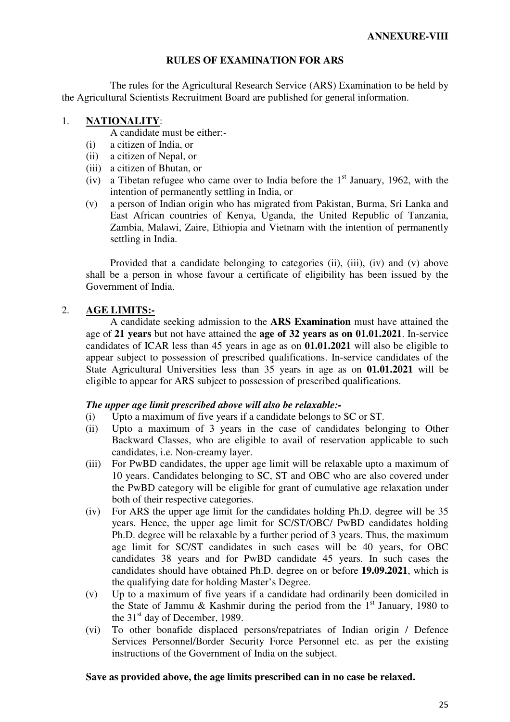### **RULES OF EXAMINATION FOR ARS**

 The rules for the Agricultural Research Service (ARS) Examination to be held by the Agricultural Scientists Recruitment Board are published for general information.

#### 1. **NATIONALITY**:

A candidate must be either:-

- (i) a citizen of India, or
- (ii) a citizen of Nepal, or
- (iii) a citizen of Bhutan, or
- (iv) a Tibetan refugee who came over to India before the  $1<sup>st</sup>$  January, 1962, with the intention of permanently settling in India, or
- (v) a person of Indian origin who has migrated from Pakistan, Burma, Sri Lanka and East African countries of Kenya, Uganda, the United Republic of Tanzania, Zambia, Malawi, Zaire, Ethiopia and Vietnam with the intention of permanently settling in India.

Provided that a candidate belonging to categories (ii), (iii), (iv) and (v) above shall be a person in whose favour a certificate of eligibility has been issued by the Government of India.

## 2. **AGE LIMITS:-**

 A candidate seeking admission to the **ARS Examination** must have attained the age of **21 years** but not have attained the **age of 32 years as on 01.01.2021**. In-service candidates of ICAR less than 45 years in age as on **01.01.2021** will also be eligible to appear subject to possession of prescribed qualifications. In-service candidates of the State Agricultural Universities less than 35 years in age as on **01.01.2021** will be eligible to appear for ARS subject to possession of prescribed qualifications.

#### *The upper age limit prescribed above will also be relaxable:-*

- (i) Upto a maximum of five years if a candidate belongs to SC or ST.
- (ii) Upto a maximum of 3 years in the case of candidates belonging to Other Backward Classes, who are eligible to avail of reservation applicable to such candidates, i.e. Non-creamy layer.
- (iii) For PwBD candidates, the upper age limit will be relaxable upto a maximum of 10 years. Candidates belonging to SC, ST and OBC who are also covered under the PwBD category will be eligible for grant of cumulative age relaxation under both of their respective categories.
- (iv) For ARS the upper age limit for the candidates holding Ph.D. degree will be 35 years. Hence, the upper age limit for SC/ST/OBC/ PwBD candidates holding Ph.D. degree will be relaxable by a further period of 3 years. Thus, the maximum age limit for SC/ST candidates in such cases will be 40 years, for OBC candidates 38 years and for PwBD candidate 45 years. In such cases the candidates should have obtained Ph.D. degree on or before **19.09.2021**, which is the qualifying date for holding Master's Degree.
- (v) Up to a maximum of five years if a candidate had ordinarily been domiciled in the State of Jammu & Kashmir during the period from the  $1<sup>st</sup>$  January, 1980 to the 31<sup>st</sup> day of December, 1989.
- (vi) To other bonafide displaced persons/repatriates of Indian origin / Defence Services Personnel/Border Security Force Personnel etc. as per the existing instructions of the Government of India on the subject.

#### **Save as provided above, the age limits prescribed can in no case be relaxed.**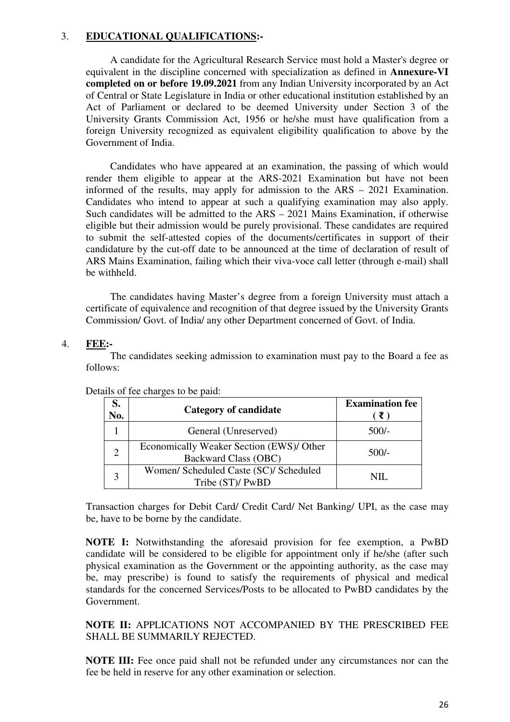#### 3. **EDUCATIONAL QUALIFICATIONS:-**

 A candidate for the Agricultural Research Service must hold a Master's degree or equivalent in the discipline concerned with specialization as defined in **Annexure-VI completed on or before 19.09.2021** from any Indian University incorporated by an Act of Central or State Legislature in India or other educational institution established by an Act of Parliament or declared to be deemed University under Section 3 of the University Grants Commission Act, 1956 or he/she must have qualification from a foreign University recognized as equivalent eligibility qualification to above by the Government of India.

 Candidates who have appeared at an examination, the passing of which would render them eligible to appear at the ARS-2021 Examination but have not been informed of the results, may apply for admission to the ARS – 2021 Examination. Candidates who intend to appear at such a qualifying examination may also apply. Such candidates will be admitted to the ARS – 2021 Mains Examination, if otherwise eligible but their admission would be purely provisional. These candidates are required to submit the self-attested copies of the documents/certificates in support of their candidature by the cut-off date to be announced at the time of declaration of result of ARS Mains Examination, failing which their viva-voce call letter (through e-mail) shall be withheld.

 The candidates having Master's degree from a foreign University must attach a certificate of equivalence and recognition of that degree issued by the University Grants Commission/ Govt. of India/ any other Department concerned of Govt. of India.

### 4. **FEE:-**

 The candidates seeking admission to examination must pay to the Board a fee as follows:

| S.<br>No.             | Category of candidate                                                   | <b>Examination fee</b> |
|-----------------------|-------------------------------------------------------------------------|------------------------|
|                       | General (Unreserved)                                                    | $500/-$                |
| $\mathcal{D}_{\cdot}$ | Economically Weaker Section (EWS)/ Other<br><b>Backward Class (OBC)</b> | $500/-$                |
|                       | Women/ Scheduled Caste (SC)/ Scheduled<br>Tribe (ST)/ PwBD              | NIL.                   |

#### Details of fee charges to be paid:

Transaction charges for Debit Card/ Credit Card/ Net Banking/ UPI, as the case may be, have to be borne by the candidate.

**NOTE I:** Notwithstanding the aforesaid provision for fee exemption, a PwBD candidate will be considered to be eligible for appointment only if he/she (after such physical examination as the Government or the appointing authority, as the case may be, may prescribe) is found to satisfy the requirements of physical and medical standards for the concerned Services/Posts to be allocated to PwBD candidates by the Government.

**NOTE II:** APPLICATIONS NOT ACCOMPANIED BY THE PRESCRIBED FEE SHALL BE SUMMARILY REJECTED.

**NOTE III:** Fee once paid shall not be refunded under any circumstances nor can the fee be held in reserve for any other examination or selection.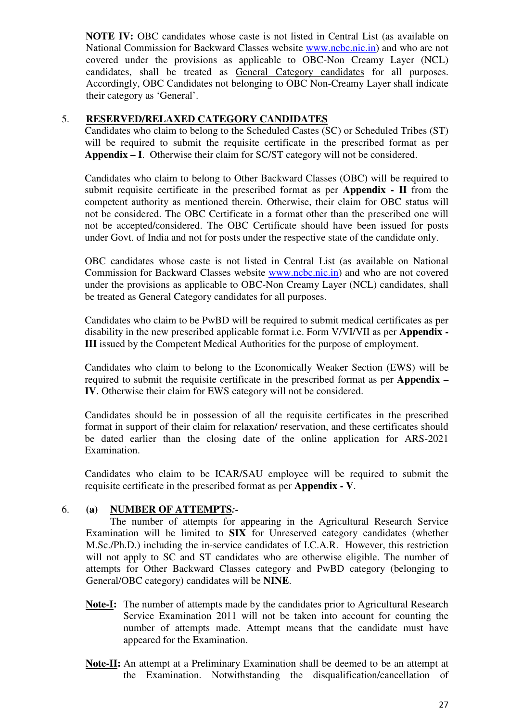**NOTE IV:** OBC candidates whose caste is not listed in Central List (as available on National Commission for Backward Classes website www.ncbc.nic.in) and who are not covered under the provisions as applicable to OBC-Non Creamy Layer (NCL) candidates, shall be treated as General Category candidates for all purposes. Accordingly, OBC Candidates not belonging to OBC Non-Creamy Layer shall indicate their category as 'General'.

## 5. **RESERVED/RELAXED CATEGORY CANDIDATES**

Candidates who claim to belong to the Scheduled Castes (SC) or Scheduled Tribes (ST) will be required to submit the requisite certificate in the prescribed format as per **Appendix – I**. Otherwise their claim for SC/ST category will not be considered.

Candidates who claim to belong to Other Backward Classes (OBC) will be required to submit requisite certificate in the prescribed format as per **Appendix - II** from the competent authority as mentioned therein. Otherwise, their claim for OBC status will not be considered. The OBC Certificate in a format other than the prescribed one will not be accepted/considered. The OBC Certificate should have been issued for posts under Govt. of India and not for posts under the respective state of the candidate only.

OBC candidates whose caste is not listed in Central List (as available on National Commission for Backward Classes website www.ncbc.nic.in) and who are not covered under the provisions as applicable to OBC-Non Creamy Layer (NCL) candidates, shall be treated as General Category candidates for all purposes.

Candidates who claim to be PwBD will be required to submit medical certificates as per disability in the new prescribed applicable format i.e. Form V/VI/VII as per **Appendix - III** issued by the Competent Medical Authorities for the purpose of employment.

Candidates who claim to belong to the Economically Weaker Section (EWS) will be required to submit the requisite certificate in the prescribed format as per **Appendix – IV**. Otherwise their claim for EWS category will not be considered.

Candidates should be in possession of all the requisite certificates in the prescribed format in support of their claim for relaxation/ reservation, and these certificates should be dated earlier than the closing date of the online application for ARS-2021 Examination.

Candidates who claim to be ICAR/SAU employee will be required to submit the requisite certificate in the prescribed format as per **Appendix - V**.

## 6. **(a) NUMBER OF ATTEMPTS***:-*

 The number of attempts for appearing in the Agricultural Research Service Examination will be limited to **SIX** for Unreserved category candidates (whether M.Sc./Ph.D.) including the in-service candidates of I.C.A.R. However, this restriction will not apply to SC and ST candidates who are otherwise eligible. The number of attempts for Other Backward Classes category and PwBD category (belonging to General/OBC category) candidates will be **NINE**.

- **Note-I:** The number of attempts made by the candidates prior to Agricultural Research Service Examination 2011 will not be taken into account for counting the number of attempts made. Attempt means that the candidate must have appeared for the Examination.
- **Note-II:** An attempt at a Preliminary Examination shall be deemed to be an attempt at the Examination. Notwithstanding the disqualification/cancellation of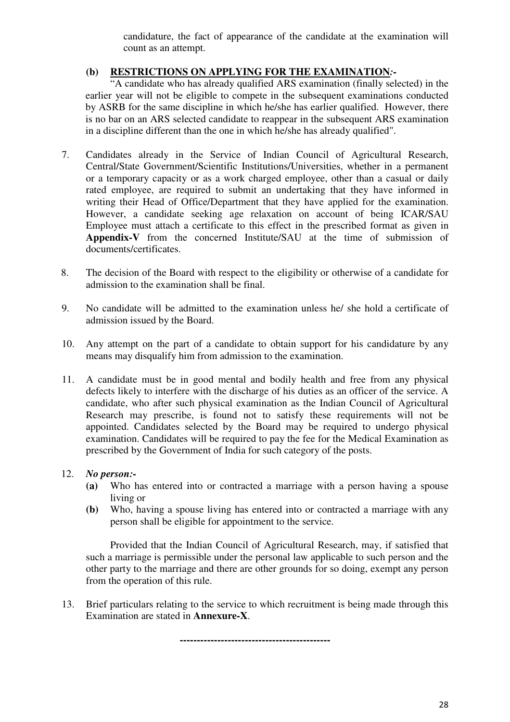candidature, the fact of appearance of the candidate at the examination will count as an attempt.

## **(b) RESTRICTIONS ON APPLYING FOR THE EXAMINATION***:-*

 "A candidate who has already qualified ARS examination (finally selected) in the earlier year will not be eligible to compete in the subsequent examinations conducted by ASRB for the same discipline in which he/she has earlier qualified. However, there is no bar on an ARS selected candidate to reappear in the subsequent ARS examination in a discipline different than the one in which he/she has already qualified".

- 7. Candidates already in the Service of Indian Council of Agricultural Research, Central/State Government/Scientific Institutions/Universities, whether in a permanent or a temporary capacity or as a work charged employee, other than a casual or daily rated employee, are required to submit an undertaking that they have informed in writing their Head of Office/Department that they have applied for the examination. However, a candidate seeking age relaxation on account of being ICAR/SAU Employee must attach a certificate to this effect in the prescribed format as given in **Appendix-V** from the concerned Institute/SAU at the time of submission of documents/certificates.
- 8. The decision of the Board with respect to the eligibility or otherwise of a candidate for admission to the examination shall be final.
- 9. No candidate will be admitted to the examination unless he/ she hold a certificate of admission issued by the Board.
- 10. Any attempt on the part of a candidate to obtain support for his candidature by any means may disqualify him from admission to the examination.
- 11. A candidate must be in good mental and bodily health and free from any physical defects likely to interfere with the discharge of his duties as an officer of the service. A candidate, who after such physical examination as the Indian Council of Agricultural Research may prescribe, is found not to satisfy these requirements will not be appointed. Candidates selected by the Board may be required to undergo physical examination. Candidates will be required to pay the fee for the Medical Examination as prescribed by the Government of India for such category of the posts.

## 12. *No person:-*

- **(a)** Who has entered into or contracted a marriage with a person having a spouse living or
- **(b)** Who, having a spouse living has entered into or contracted a marriage with any person shall be eligible for appointment to the service.

 Provided that the Indian Council of Agricultural Research, may, if satisfied that such a marriage is permissible under the personal law applicable to such person and the other party to the marriage and there are other grounds for so doing, exempt any person from the operation of this rule.

13. Brief particulars relating to the service to which recruitment is being made through this Examination are stated in **Annexure-X**.

**--------------------------------------------**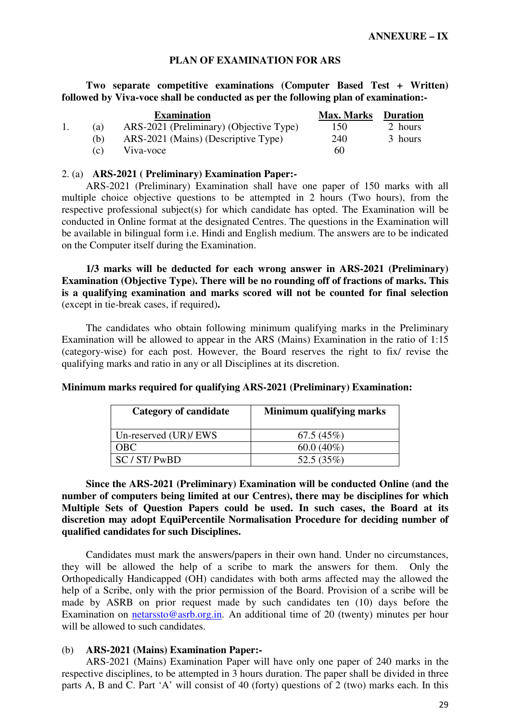#### **PLAN OF EXAMINATION FOR ARS**

**Two separate competitive examinations (Computer Based Test + Written) followed by Viva-voce shall be conducted as per the following plan of examination:-** 

|     | <b>Examination</b>                      | <b>Max. Marks</b> | <b>Duration</b> |
|-----|-----------------------------------------|-------------------|-----------------|
| (a) | ARS-2021 (Preliminary) (Objective Type) | 150               | 2 hours         |
| (h) | ARS-2021 (Mains) (Descriptive Type)     | 240               | 3 hours         |
| (c) | Viva-voce                               | 60                |                 |

#### 2. (a) **ARS-2021 ( Preliminary) Examination Paper:-**

ARS-2021 (Preliminary) Examination shall have one paper of 150 marks with all multiple choice objective questions to be attempted in 2 hours (Two hours), from the respective professional subject(s) for which candidate has opted. The Examination will be conducted in Online format at the designated Centres. The questions in the Examination will be available in bilingual form i.e. Hindi and English medium. The answers are to be indicated on the Computer itself during the Examination.

**1/3 marks will be deducted for each wrong answer in ARS-2021 (Preliminary) Examination (Objective Type). There will be no rounding off of fractions of marks. This is a qualifying examination and marks scored will not be counted for final selection**  (except in tie-break cases, if required)**.** 

The candidates who obtain following minimum qualifying marks in the Preliminary Examination will be allowed to appear in the ARS (Mains) Examination in the ratio of 1:15 (category-wise) for each post. However, the Board reserves the right to fix/ revise the qualifying marks and ratio in any or all Disciplines at its discretion.

| <b>Category of candidate</b> | Minimum qualifying marks |
|------------------------------|--------------------------|
| Un-reserved $(UR)/EWS$       | 67.5(45%)                |
| OBC.                         | $60.0(40\%)$             |
| SC/ST/ PwBD                  | 52.5 $(35%)$             |

**Minimum marks required for qualifying ARS-2021 (Preliminary) Examination:** 

**Since the ARS-2021 (Preliminary) Examination will be conducted Online (and the number of computers being limited at our Centres), there may be disciplines for which Multiple Sets of Question Papers could be used. In such cases, the Board at its discretion may adopt EquiPercentile Normalisation Procedure for deciding number of qualified candidates for such Disciplines.** 

Candidates must mark the answers/papers in their own hand. Under no circumstances, they will be allowed the help of a scribe to mark the answers for them. Only the Orthopedically Handicapped (OH) candidates with both arms affected may the allowed the help of a Scribe, only with the prior permission of the Board. Provision of a scribe will be made by ASRB on prior request made by such candidates ten (10) days before the Examination on netarssto@asrb.org.in. An additional time of 20 (twenty) minutes per hour will be allowed to such candidates.

#### (b) **ARS-2021 (Mains) Examination Paper:-**

ARS-2021 (Mains) Examination Paper will have only one paper of 240 marks in the respective disciplines, to be attempted in 3 hours duration. The paper shall be divided in three parts A, B and C. Part 'A' will consist of 40 (forty) questions of 2 (two) marks each. In this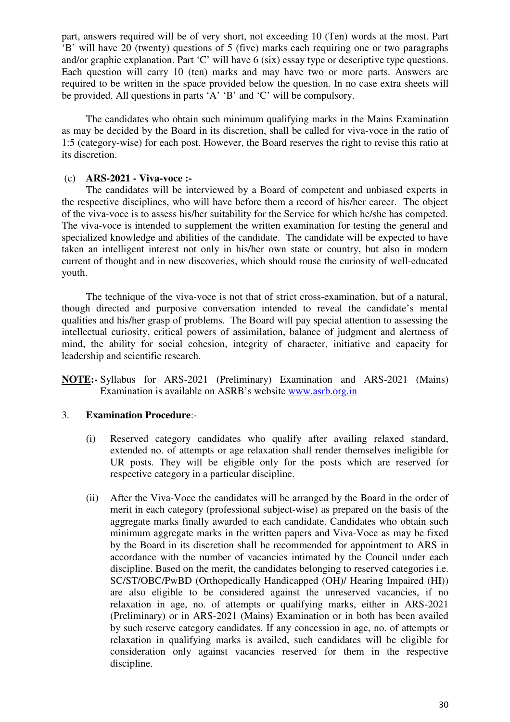part, answers required will be of very short, not exceeding 10 (Ten) words at the most. Part 'B' will have 20 (twenty) questions of 5 (five) marks each requiring one or two paragraphs and/or graphic explanation. Part 'C' will have 6 (six) essay type or descriptive type questions. Each question will carry 10 (ten) marks and may have two or more parts. Answers are required to be written in the space provided below the question. In no case extra sheets will be provided. All questions in parts 'A' 'B' and 'C' will be compulsory.

The candidates who obtain such minimum qualifying marks in the Mains Examination as may be decided by the Board in its discretion, shall be called for viva-voce in the ratio of 1:5 (category-wise) for each post. However, the Board reserves the right to revise this ratio at its discretion.

### (c) **ARS-2021 - Viva-voce :-**

The candidates will be interviewed by a Board of competent and unbiased experts in the respective disciplines, who will have before them a record of his/her career. The object of the viva-voce is to assess his/her suitability for the Service for which he/she has competed. The viva-voce is intended to supplement the written examination for testing the general and specialized knowledge and abilities of the candidate. The candidate will be expected to have taken an intelligent interest not only in his/her own state or country, but also in modern current of thought and in new discoveries, which should rouse the curiosity of well-educated youth.

The technique of the viva-voce is not that of strict cross-examination, but of a natural, though directed and purposive conversation intended to reveal the candidate's mental qualities and his/her grasp of problems. The Board will pay special attention to assessing the intellectual curiosity, critical powers of assimilation, balance of judgment and alertness of mind, the ability for social cohesion, integrity of character, initiative and capacity for leadership and scientific research.

**NOTE:-** Syllabus for ARS-2021 (Preliminary) Examination and ARS-2021 (Mains) Examination is available on ASRB's website www.asrb.org.in

## 3. **Examination Procedure**:-

- (i) Reserved category candidates who qualify after availing relaxed standard, extended no. of attempts or age relaxation shall render themselves ineligible for UR posts. They will be eligible only for the posts which are reserved for respective category in a particular discipline.
- (ii) After the Viva-Voce the candidates will be arranged by the Board in the order of merit in each category (professional subject-wise) as prepared on the basis of the aggregate marks finally awarded to each candidate. Candidates who obtain such minimum aggregate marks in the written papers and Viva-Voce as may be fixed by the Board in its discretion shall be recommended for appointment to ARS in accordance with the number of vacancies intimated by the Council under each discipline. Based on the merit, the candidates belonging to reserved categories i.e. SC/ST/OBC/PwBD (Orthopedically Handicapped (OH)/ Hearing Impaired (HI)) are also eligible to be considered against the unreserved vacancies, if no relaxation in age, no. of attempts or qualifying marks, either in ARS-2021 (Preliminary) or in ARS-2021 (Mains) Examination or in both has been availed by such reserve category candidates. If any concession in age, no. of attempts or relaxation in qualifying marks is availed, such candidates will be eligible for consideration only against vacancies reserved for them in the respective discipline.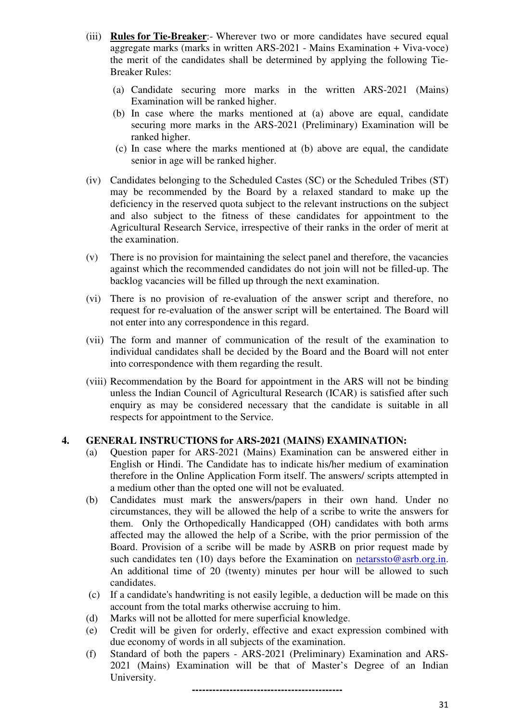- (iii) **Rules for Tie-Breaker**:- Wherever two or more candidates have secured equal aggregate marks (marks in written ARS-2021 - Mains Examination + Viva-voce) the merit of the candidates shall be determined by applying the following Tie-Breaker Rules:
	- (a) Candidate securing more marks in the written ARS-2021 (Mains) Examination will be ranked higher.
	- (b) In case where the marks mentioned at (a) above are equal, candidate securing more marks in the ARS-2021 (Preliminary) Examination will be ranked higher.
	- (c) In case where the marks mentioned at (b) above are equal, the candidate senior in age will be ranked higher.
- (iv) Candidates belonging to the Scheduled Castes (SC) or the Scheduled Tribes (ST) may be recommended by the Board by a relaxed standard to make up the deficiency in the reserved quota subject to the relevant instructions on the subject and also subject to the fitness of these candidates for appointment to the Agricultural Research Service, irrespective of their ranks in the order of merit at the examination.
- (v) There is no provision for maintaining the select panel and therefore, the vacancies against which the recommended candidates do not join will not be filled-up. The backlog vacancies will be filled up through the next examination.
- (vi) There is no provision of re-evaluation of the answer script and therefore, no request for re-evaluation of the answer script will be entertained. The Board will not enter into any correspondence in this regard.
- (vii) The form and manner of communication of the result of the examination to individual candidates shall be decided by the Board and the Board will not enter into correspondence with them regarding the result.
- (viii) Recommendation by the Board for appointment in the ARS will not be binding unless the Indian Council of Agricultural Research (ICAR) is satisfied after such enquiry as may be considered necessary that the candidate is suitable in all respects for appointment to the Service.

#### **4. GENERAL INSTRUCTIONS for ARS-2021 (MAINS) EXAMINATION:**

- (a) Question paper for ARS-2021 (Mains) Examination can be answered either in English or Hindi. The Candidate has to indicate his/her medium of examination therefore in the Online Application Form itself. The answers/ scripts attempted in a medium other than the opted one will not be evaluated.
- (b) Candidates must mark the answers/papers in their own hand. Under no circumstances, they will be allowed the help of a scribe to write the answers for them. Only the Orthopedically Handicapped (OH) candidates with both arms affected may the allowed the help of a Scribe, with the prior permission of the Board. Provision of a scribe will be made by ASRB on prior request made by such candidates ten (10) days before the Examination on netarssto@asrb.org.in. An additional time of 20 (twenty) minutes per hour will be allowed to such candidates.
- (c) If a candidate's handwriting is not easily legible, a deduction will be made on this account from the total marks otherwise accruing to him.
- (d) Marks will not be allotted for mere superficial knowledge.
- (e) Credit will be given for orderly, effective and exact expression combined with due economy of words in all subjects of the examination.
- (f) Standard of both the papers ARS-2021 (Preliminary) Examination and ARS-2021 (Mains) Examination will be that of Master's Degree of an Indian University.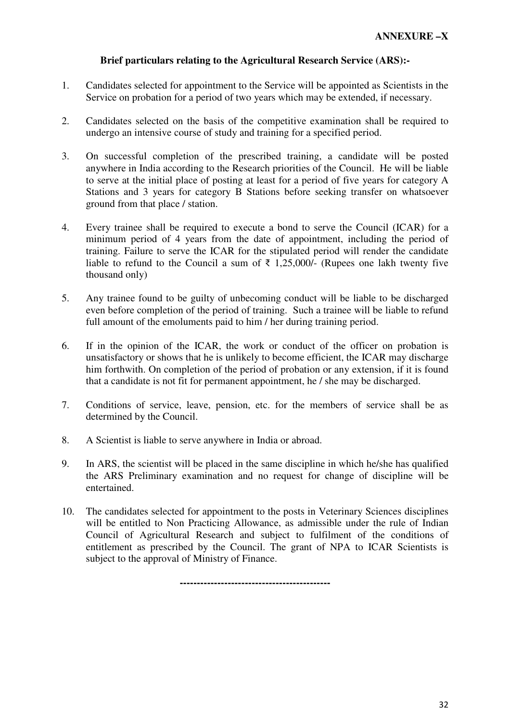## **Brief particulars relating to the Agricultural Research Service (ARS):-**

- 1. Candidates selected for appointment to the Service will be appointed as Scientists in the Service on probation for a period of two years which may be extended, if necessary.
- 2. Candidates selected on the basis of the competitive examination shall be required to undergo an intensive course of study and training for a specified period.
- 3. On successful completion of the prescribed training, a candidate will be posted anywhere in India according to the Research priorities of the Council. He will be liable to serve at the initial place of posting at least for a period of five years for category A Stations and 3 years for category B Stations before seeking transfer on whatsoever ground from that place / station.
- 4. Every trainee shall be required to execute a bond to serve the Council (ICAR) for a minimum period of 4 years from the date of appointment, including the period of training. Failure to serve the ICAR for the stipulated period will render the candidate liable to refund to the Council a sum of  $\bar{\tau}$  1,25,000/- (Rupees one lakh twenty five thousand only)
- 5. Any trainee found to be guilty of unbecoming conduct will be liable to be discharged even before completion of the period of training. Such a trainee will be liable to refund full amount of the emoluments paid to him / her during training period.
- 6. If in the opinion of the ICAR, the work or conduct of the officer on probation is unsatisfactory or shows that he is unlikely to become efficient, the ICAR may discharge him forthwith. On completion of the period of probation or any extension, if it is found that a candidate is not fit for permanent appointment, he / she may be discharged.
- 7. Conditions of service, leave, pension, etc. for the members of service shall be as determined by the Council.
- 8. A Scientist is liable to serve anywhere in India or abroad.
- 9. In ARS, the scientist will be placed in the same discipline in which he/she has qualified the ARS Preliminary examination and no request for change of discipline will be entertained.
- 10. The candidates selected for appointment to the posts in Veterinary Sciences disciplines will be entitled to Non Practicing Allowance, as admissible under the rule of Indian Council of Agricultural Research and subject to fulfilment of the conditions of entitlement as prescribed by the Council. The grant of NPA to ICAR Scientists is subject to the approval of Ministry of Finance.

**--------------------------------------------**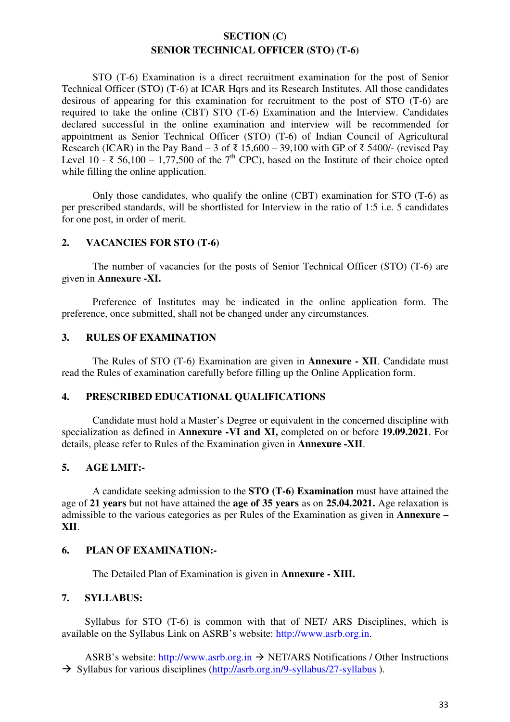## **SECTION (C) SENIOR TECHNICAL OFFICER (STO) (T-6)**

 STO (T-6) Examination is a direct recruitment examination for the post of Senior Technical Officer (STO) (T-6) at ICAR Hqrs and its Research Institutes. All those candidates desirous of appearing for this examination for recruitment to the post of STO (T-6) are required to take the online (CBT) STO (T-6) Examination and the Interview. Candidates declared successful in the online examination and interview will be recommended for appointment as Senior Technical Officer (STO) (T-6) of Indian Council of Agricultural Research (ICAR) in the Pay Band – 3 of  $\bar{\tau}$  15,600 – 39,100 with GP of  $\bar{\tau}$  5400/- (revised Pay Level 10 - ₹ 56,100 – 1,77,500 of the 7<sup>th</sup> CPC), based on the Institute of their choice opted while filling the online application.

 Only those candidates, who qualify the online (CBT) examination for STO (T-6) as per prescribed standards, will be shortlisted for Interview in the ratio of 1:5 i.e. 5 candidates for one post, in order of merit.

#### **2. VACANCIES FOR STO (T-6)**

 The number of vacancies for the posts of Senior Technical Officer (STO) (T-6) are given in **Annexure -XI.**

 Preference of Institutes may be indicated in the online application form. The preference, once submitted, shall not be changed under any circumstances.

#### **3. RULES OF EXAMINATION**

 The Rules of STO (T-6) Examination are given in **Annexure - XII**. Candidate must read the Rules of examination carefully before filling up the Online Application form.

#### **4. PRESCRIBED EDUCATIONAL QUALIFICATIONS**

 Candidate must hold a Master's Degree or equivalent in the concerned discipline with specialization as defined in **Annexure -VI and XI,** completed on or before **19.09.2021**. For details, please refer to Rules of the Examination given in **Annexure -XII**.

#### **5. AGE LMIT:-**

A candidate seeking admission to the **STO (T-6) Examination** must have attained the age of **21 years** but not have attained the **age of 35 years** as on **25.04.2021.** Age relaxation is admissible to the various categories as per Rules of the Examination as given in **Annexure – XII**.

#### **6. PLAN OF EXAMINATION:-**

The Detailed Plan of Examination is given in **Annexure - XIII.** 

#### **7. SYLLABUS:**

Syllabus for STO (T-6) is common with that of NET/ ARS Disciplines, which is available on the Syllabus Link on ASRB's website: http://www.asrb.org.in.

ASRB's website: http://www.asrb.org.in  $\rightarrow$  NET/ARS Notifications / Other Instructions  $\rightarrow$  Syllabus for various disciplines (http://asrb.org.in/9-syllabus/27-syllabus).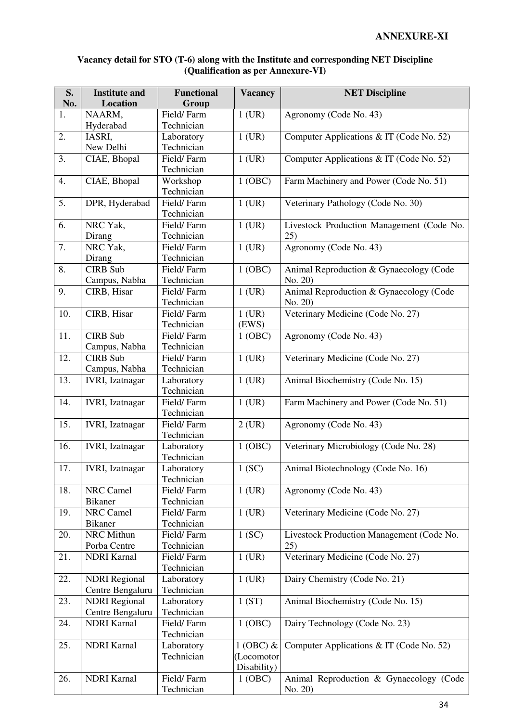#### **Vacancy detail for STO (T-6) along with the Institute and corresponding NET Discipline (Qualification as per Annexure-VI)**

| S.<br>No.        | <b>Institute and</b><br><b>Location</b> | <b>Functional</b><br>Group | <b>Vacancy</b> | <b>NET Discipline</b>                     |
|------------------|-----------------------------------------|----------------------------|----------------|-------------------------------------------|
| 1.               | NAARM,                                  | Field/Farm                 | $1$ (UR)       | Agronomy (Code No. 43)                    |
|                  | Hyderabad                               | Technician                 |                |                                           |
| 2.               | IASRI,                                  | Laboratory                 | $1$ (UR)       | Computer Applications & IT (Code No. 52)  |
|                  | New Delhi                               | Technician                 |                |                                           |
| 3.               | CIAE, Bhopal                            | Field/Farm                 | $1$ (UR)       | Computer Applications & IT (Code No. 52)  |
|                  |                                         | Technician                 |                |                                           |
| 4.               | CIAE, Bhopal                            | Workshop                   | 1 (OBC)        | Farm Machinery and Power (Code No. 51)    |
|                  |                                         | Technician                 |                |                                           |
| $\overline{5}$ . | DPR, Hyderabad                          | Field/Farm                 | $1$ (UR)       | Veterinary Pathology (Code No. 30)        |
|                  |                                         | Technician                 |                |                                           |
| 6.               | NRC Yak,                                | Field/Farm                 | $1$ (UR)       | Livestock Production Management (Code No. |
|                  | Dirang                                  | Technician                 |                | 25)                                       |
| 7.               | NRC Yak,                                | Field/Farm                 | $1$ (UR)       | Agronomy (Code No. 43)                    |
|                  | Dirang                                  | Technician                 |                |                                           |
| 8.               | <b>CIRB</b> Sub                         | Field/Farm                 | 1 (OBC)        | Animal Reproduction & Gynaecology (Code   |
|                  | Campus, Nabha                           | Technician                 |                | No. 20)                                   |
| 9.               | CIRB, Hisar                             | Field/Farm                 | $1$ (UR)       | Animal Reproduction & Gynaecology (Code   |
|                  |                                         | Technician                 |                | No. 20)                                   |
| 10.              | CIRB, Hisar                             | Field/Farm                 | $1$ (UR)       | Veterinary Medicine (Code No. 27)         |
|                  |                                         | Technician                 | (EWS)          |                                           |
| 11.              | <b>CIRB Sub</b>                         | Field/Farm                 | 1 (OBC)        | Agronomy (Code No. 43)                    |
|                  | Campus, Nabha                           | Technician                 |                |                                           |
| 12.              | <b>CIRB</b> Sub                         | Field/Farm                 | $1$ (UR)       | Veterinary Medicine (Code No. 27)         |
|                  | Campus, Nabha                           | Technician                 |                |                                           |
| 13.              | <b>IVRI</b> , Izatnagar                 | Laboratory                 | $1$ (UR)       | Animal Biochemistry (Code No. 15)         |
|                  |                                         | Technician                 |                |                                           |
| 14.              | <b>IVRI</b> , Izatnagar                 | Field/Farm                 | $1$ (UR)       | Farm Machinery and Power (Code No. 51)    |
|                  |                                         | Technician                 |                |                                           |
| 15.              | <b>IVRI</b> , Izatnagar                 | Field/Farm                 | $2$ (UR)       | Agronomy (Code No. 43)                    |
|                  |                                         | Technician                 |                |                                           |
| 16.              | <b>IVRI</b> , Izatnagar                 | Laboratory                 | 1 (OBC)        | Veterinary Microbiology (Code No. 28)     |
|                  |                                         | Technician                 |                |                                           |
| 17.              | <b>IVRI, Izatnagar</b>                  | Laboratory                 | 1(SC)          | Animal Biotechnology (Code No. 16)        |
|                  |                                         | Technician                 |                |                                           |
| 18.              | NRC Camel                               | Field/Farm                 | $1$ (UR)       | Agronomy (Code No. 43)                    |
|                  | <b>Bikaner</b>                          | Technician                 |                |                                           |
| 19.              | NRC Camel                               | Field/Farm                 | $1$ (UR)       | Veterinary Medicine (Code No. 27)         |
|                  | <b>Bikaner</b>                          | Technician                 |                |                                           |
| 20.              | NRC Mithun                              | Field/Farm                 | 1(SC)          | Livestock Production Management (Code No. |
|                  | Porba Centre                            | Technician                 |                | 25)                                       |
| 21.              | <b>NDRI</b> Karnal                      | Field/Farm                 | $1$ (UR)       | Veterinary Medicine (Code No. 27)         |
|                  |                                         | Technician                 |                |                                           |
| 22.              | <b>NDRI</b> Regional                    | Laboratory                 | $1$ (UR)       | Dairy Chemistry (Code No. 21)             |
|                  | Centre Bengaluru                        | Technician                 |                |                                           |
| 23.              | <b>NDRI</b> Regional                    | Laboratory                 | 1(ST)          | Animal Biochemistry (Code No. 15)         |
|                  | Centre Bengaluru                        | Technician                 |                |                                           |
| 24.              | <b>NDRI</b> Karnal                      | Field/Farm                 | 1 (OBC)        | Dairy Technology (Code No. 23)            |
|                  |                                         | Technician                 |                |                                           |
| 25.              | <b>NDRI</b> Karnal                      | Laboratory                 | $1$ (OBC) $&$  | Computer Applications & IT (Code No. 52)  |
|                  |                                         | Technician                 | (Locomotor     |                                           |
|                  |                                         |                            | Disability)    |                                           |
| 26.              | <b>NDRI</b> Karnal                      | Field/Farm                 | 1(OBC)         | Animal Reproduction & Gynaecology (Code   |
|                  |                                         | Technician                 |                | No. 20)                                   |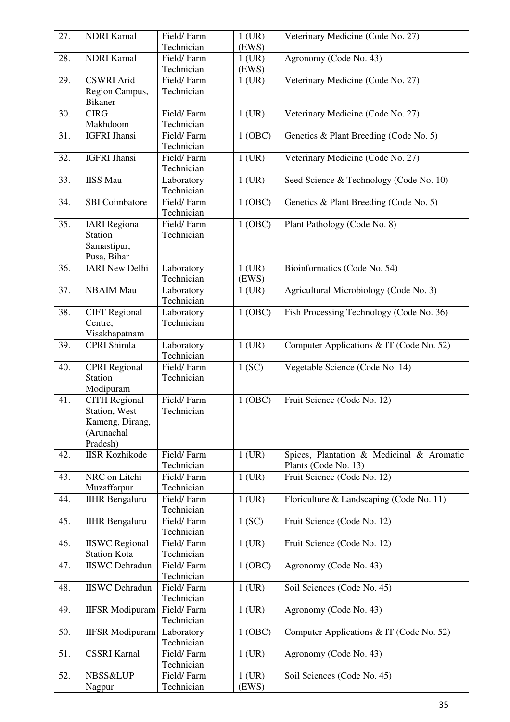| 27. | <b>NDRI</b> Karnal                                                   | Field/Farm<br>Technician               | $1$ (UR)<br>(EWS)   | Veterinary Medicine (Code No. 27)                                 |
|-----|----------------------------------------------------------------------|----------------------------------------|---------------------|-------------------------------------------------------------------|
| 28. | <b>NDRI</b> Karnal                                                   | Field/Farm<br>Technician               | $1$ (UR)<br>(EWS)   | Agronomy (Code No. 43)                                            |
| 29. | <b>CSWRI</b> Arid<br>Region Campus,<br><b>Bikaner</b>                | Field/Farm<br>Technician               | $1$ (UR)            | Veterinary Medicine (Code No. 27)                                 |
| 30. | <b>CIRG</b><br>Makhdoom                                              | Field/Farm<br>Technician               | $1$ (UR)            | Veterinary Medicine (Code No. 27)                                 |
| 31. | <b>IGFRI Jhansi</b>                                                  | Field/Farm<br>Technician               | 1 (OBC)             | Genetics & Plant Breeding (Code No. 5)                            |
| 32. | <b>IGFRI</b> Jhansi                                                  | Field/Farm<br>Technician               | $1$ (UR)            | Veterinary Medicine (Code No. 27)                                 |
| 33. | <b>IISS Mau</b>                                                      | Laboratory<br>Technician               | $1$ (UR)            | Seed Science & Technology (Code No. 10)                           |
| 34. | <b>SBI</b> Coimbatore                                                | Field/Farm<br>Technician               | 1 (OBC)             | Genetics & Plant Breeding (Code No. 5)                            |
| 35. | <b>IARI</b> Regional<br><b>Station</b><br>Samastipur,<br>Pusa, Bihar | Field/Farm<br>Technician               | 1 (OBC)             | Plant Pathology (Code No. 8)                                      |
| 36. | <b>IARI New Delhi</b>                                                | Laboratory<br>Technician               | $1$ (UR)<br>(EWS)   | Bioinformatics (Code No. 54)                                      |
| 37. | <b>NBAIM Mau</b>                                                     | Laboratory<br>Technician               | $1$ (UR)            | Agricultural Microbiology (Code No. 3)                            |
| 38. | <b>CIFT</b> Regional<br>Centre,<br>Visakhapatnam                     | Laboratory<br>Technician               | 1 (OBC)             | Fish Processing Technology (Code No. 36)                          |
| 39. | CPRI Shimla                                                          | Laboratory<br>Technician               | $1$ (UR)            | Computer Applications & IT (Code No. 52)                          |
| 40. | <b>CPRI</b> Regional<br><b>Station</b><br>Modipuram                  | Field/Farm<br>Technician               | 1(SC)               | Vegetable Science (Code No. 14)                                   |
| 41. | <b>CITH Regional</b>                                                 | Field/Farm                             | 1 (OBC)             | Fruit Science (Code No. 12)                                       |
|     | Station, West<br>Kameng, Dirang,<br>(Arunachal<br>Pradesh)           | Technician                             |                     |                                                                   |
| 42. | <b>IISR Kozhikode</b>                                                | Field/Farm<br>Technician               | $1$ (UR)            | Spices, Plantation & Medicinal & Aromatic<br>Plants (Code No. 13) |
| 43. | NRC on Litchi                                                        | Field/Farm<br>Technician               | $1$ (UR)            | Fruit Science (Code No. 12)                                       |
| 44. | Muzaffarpur<br><b>IIHR</b> Bengaluru                                 | Field/Farm<br>Technician               | $1$ (UR)            | Floriculture & Landscaping (Code No. 11)                          |
| 45. | <b>IIHR</b> Bengaluru                                                | Field/Farm                             | $\overline{1}$ (SC) | Fruit Science (Code No. 12)                                       |
| 46. | <b>IISWC</b> Regional                                                | Technician<br>Field/Farm               | $1$ (UR)            | Fruit Science (Code No. 12)                                       |
| 47. | <b>Station Kota</b><br><b>IISWC</b> Dehradun                         | Technician<br>Field/Farm               | 1 (OBC)             | Agronomy (Code No. 43)                                            |
| 48. | <b>IISWC</b> Dehradun                                                | Technician<br>Field/Farm               | $1$ (UR)            | Soil Sciences (Code No. 45)                                       |
| 49. | <b>IIFSR</b> Modipuram                                               | Technician<br>Field/Farm               | $1$ (UR)            | Agronomy (Code No. 43)                                            |
| 50. | <b>IIFSR</b> Modipuram                                               | Technician<br>Laboratory               | 1(OBC)              | Computer Applications & IT (Code No. 52)                          |
| 51. | <b>CSSRI Karnal</b>                                                  | Technician<br>Field/Farm<br>Technician | $1$ (UR)            | Agronomy (Code No. 43)                                            |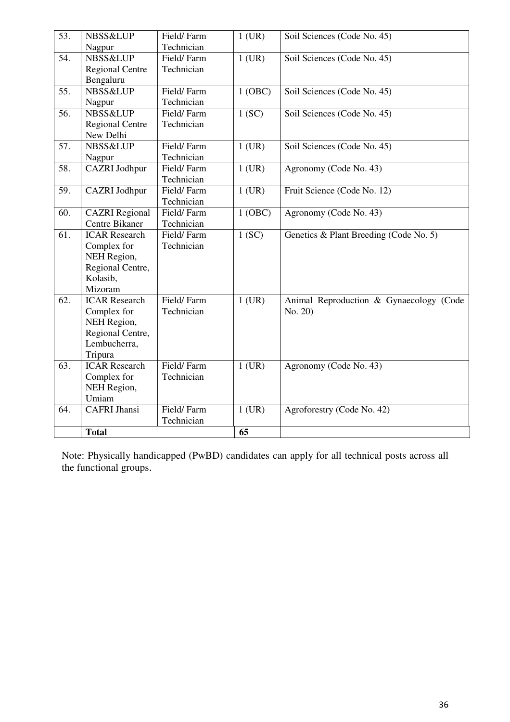| 53. | <b>NBSS&amp;LUP</b><br>Nagpur                                                                     | Field/Farm<br>Technician | $1$ (UR) | Soil Sciences (Code No. 45)                        |
|-----|---------------------------------------------------------------------------------------------------|--------------------------|----------|----------------------------------------------------|
| 54. | <b>NBSS&amp;LUP</b><br><b>Regional Centre</b><br>Bengaluru                                        | Field/Farm<br>Technician | $1$ (UR) | Soil Sciences (Code No. 45)                        |
| 55. | <b>NBSS&amp;LUP</b><br>Nagpur                                                                     | Field/Farm<br>Technician | 1 (OBC)  | Soil Sciences (Code No. 45)                        |
| 56. | <b>NBSS&amp;LUP</b><br><b>Regional Centre</b><br>New Delhi                                        | Field/Farm<br>Technician | 1(SC)    | Soil Sciences (Code No. 45)                        |
| 57. | <b>NBSS&amp;LUP</b><br>Nagpur                                                                     | Field/Farm<br>Technician | $1$ (UR) | Soil Sciences (Code No. 45)                        |
| 58. | <b>CAZRI</b> Jodhpur                                                                              | Field/Farm<br>Technician | $1$ (UR) | Agronomy (Code No. 43)                             |
| 59. | CAZRI Jodhpur                                                                                     | Field/Farm<br>Technician | $1$ (UR) | Fruit Science (Code No. 12)                        |
| 60. | <b>CAZRI</b> Regional<br>Centre Bikaner                                                           | Field/Farm<br>Technician | 1 (OBC)  | Agronomy (Code No. 43)                             |
| 61. | <b>ICAR Research</b><br>Complex for<br>NEH Region,<br>Regional Centre,<br>Kolasib,<br>Mizoram     | Field/Farm<br>Technician | 1(SC)    | Genetics & Plant Breeding (Code No. 5)             |
| 62. | <b>ICAR Research</b><br>Complex for<br>NEH Region,<br>Regional Centre,<br>Lembucherra,<br>Tripura | Field/Farm<br>Technician | $1$ (UR) | Animal Reproduction & Gynaecology (Code<br>No. 20) |
| 63. | <b>ICAR Research</b><br>Complex for<br>NEH Region,<br>Umiam                                       | Field/Farm<br>Technician | $1$ (UR) | Agronomy (Code No. 43)                             |
| 64. | <b>CAFRI Jhansi</b>                                                                               | Field/Farm<br>Technician | $1$ (UR) | Agroforestry (Code No. 42)                         |
|     | <b>Total</b>                                                                                      |                          | 65       |                                                    |

Note: Physically handicapped (PwBD) candidates can apply for all technical posts across all the functional groups.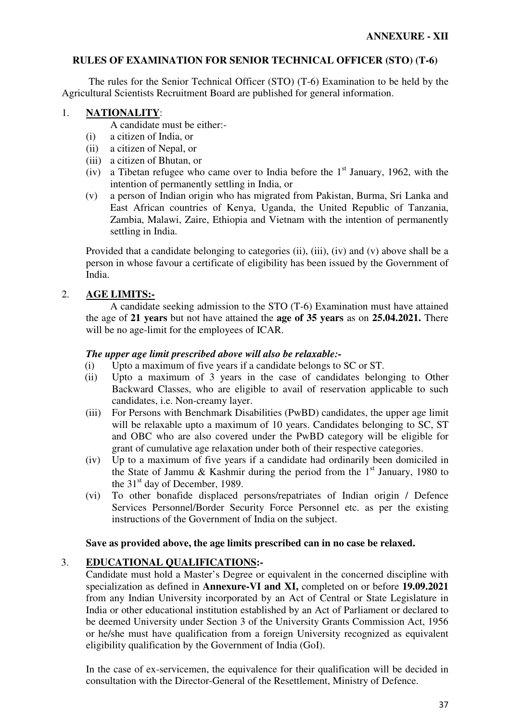### **RULES OF EXAMINATION FOR SENIOR TECHNICAL OFFICER (STO) (T-6)**

 The rules for the Senior Technical Officer (STO) (T-6) Examination to be held by the Agricultural Scientists Recruitment Board are published for general information.

### 1. **NATIONALITY**:

A candidate must be either:-

- (i) a citizen of India, or
- (ii) a citizen of Nepal, or
- (iii) a citizen of Bhutan, or
- (iv) a Tibetan refugee who came over to India before the  $1<sup>st</sup>$  January, 1962, with the intention of permanently settling in India, or
- (v) a person of Indian origin who has migrated from Pakistan, Burma, Sri Lanka and East African countries of Kenya, Uganda, the United Republic of Tanzania, Zambia, Malawi, Zaire, Ethiopia and Vietnam with the intention of permanently settling in India.

Provided that a candidate belonging to categories (ii), (iii), (iv) and (v) above shall be a person in whose favour a certificate of eligibility has been issued by the Government of India.

## 2. **AGE LIMITS:-**

 A candidate seeking admission to the STO (T-6) Examination must have attained the age of **21 years** but not have attained the **age of 35 years** as on **25.04.2021.** There will be no age-limit for the employees of ICAR.

#### *The upper age limit prescribed above will also be relaxable:-*

- (i) Upto a maximum of five years if a candidate belongs to SC or ST.
- (ii) Upto a maximum of 3 years in the case of candidates belonging to Other Backward Classes, who are eligible to avail of reservation applicable to such candidates, i.e. Non-creamy layer.
- (iii) For Persons with Benchmark Disabilities (PwBD) candidates, the upper age limit will be relaxable upto a maximum of 10 years. Candidates belonging to SC, ST and OBC who are also covered under the PwBD category will be eligible for grant of cumulative age relaxation under both of their respective categories.
- (iv) Up to a maximum of five years if a candidate had ordinarily been domiciled in the State of Jammu & Kashmir during the period from the  $1<sup>st</sup>$  January, 1980 to the 31<sup>st</sup> day of December, 1989.
- (vi) To other bonafide displaced persons/repatriates of Indian origin / Defence Services Personnel/Border Security Force Personnel etc. as per the existing instructions of the Government of India on the subject.

#### **Save as provided above, the age limits prescribed can in no case be relaxed.**

## 3. **EDUCATIONAL QUALIFICATIONS:-**

 Candidate must hold a Master's Degree or equivalent in the concerned discipline with specialization as defined in **Annexure-VI and XI,** completed on or before **19.09.2021** from any Indian University incorporated by an Act of Central or State Legislature in India or other educational institution established by an Act of Parliament or declared to be deemed University under Section 3 of the University Grants Commission Act, 1956 or he/she must have qualification from a foreign University recognized as equivalent eligibility qualification by the Government of India (GoI).

 In the case of ex-servicemen, the equivalence for their qualification will be decided in consultation with the Director-General of the Resettlement, Ministry of Defence.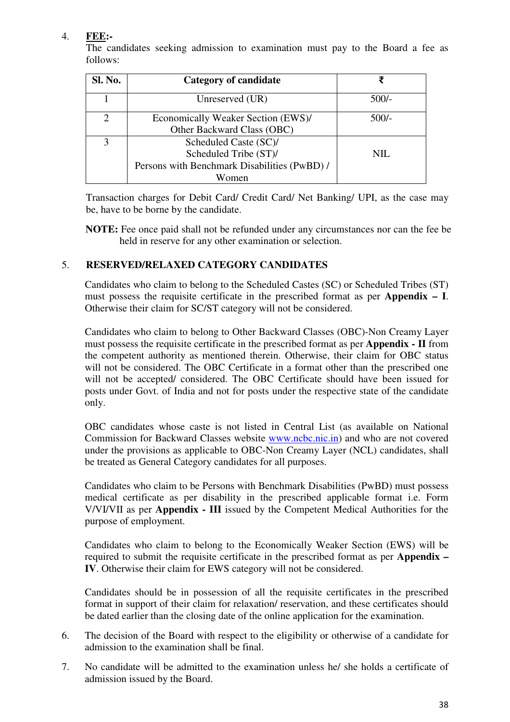## 4. **FEE:-**

 The candidates seeking admission to examination must pay to the Board a fee as follows:

| Sl. No. | Category of candidate                        | ₹       |
|---------|----------------------------------------------|---------|
|         | Unreserved (UR)                              | $500/-$ |
|         | Economically Weaker Section (EWS)/           | $500/-$ |
|         | Other Backward Class (OBC)                   |         |
|         | Scheduled Caste (SC)/                        |         |
|         | Scheduled Tribe (ST)/                        | NIL.    |
|         | Persons with Benchmark Disabilities (PwBD) / |         |
|         | Women                                        |         |

Transaction charges for Debit Card/ Credit Card/ Net Banking/ UPI, as the case may be, have to be borne by the candidate.

**NOTE:** Fee once paid shall not be refunded under any circumstances nor can the fee be held in reserve for any other examination or selection.

## 5. **RESERVED/RELAXED CATEGORY CANDIDATES**

Candidates who claim to belong to the Scheduled Castes (SC) or Scheduled Tribes (ST) must possess the requisite certificate in the prescribed format as per **Appendix – I**. Otherwise their claim for SC/ST category will not be considered.

Candidates who claim to belong to Other Backward Classes (OBC)-Non Creamy Layer must possess the requisite certificate in the prescribed format as per **Appendix - II** from the competent authority as mentioned therein. Otherwise, their claim for OBC status will not be considered. The OBC Certificate in a format other than the prescribed one will not be accepted/ considered. The OBC Certificate should have been issued for posts under Govt. of India and not for posts under the respective state of the candidate only.

OBC candidates whose caste is not listed in Central List (as available on National Commission for Backward Classes website www.ncbc.nic.in) and who are not covered under the provisions as applicable to OBC-Non Creamy Layer (NCL) candidates, shall be treated as General Category candidates for all purposes.

Candidates who claim to be Persons with Benchmark Disabilities (PwBD) must possess medical certificate as per disability in the prescribed applicable format i.e. Form V/VI/VII as per **Appendix - III** issued by the Competent Medical Authorities for the purpose of employment.

Candidates who claim to belong to the Economically Weaker Section (EWS) will be required to submit the requisite certificate in the prescribed format as per **Appendix – IV**. Otherwise their claim for EWS category will not be considered.

Candidates should be in possession of all the requisite certificates in the prescribed format in support of their claim for relaxation/ reservation, and these certificates should be dated earlier than the closing date of the online application for the examination.

- 6. The decision of the Board with respect to the eligibility or otherwise of a candidate for admission to the examination shall be final.
- 7. No candidate will be admitted to the examination unless he/ she holds a certificate of admission issued by the Board.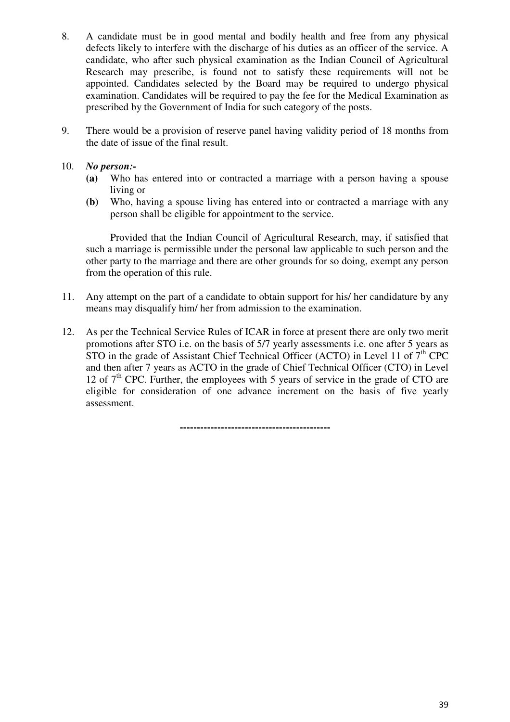- 8. A candidate must be in good mental and bodily health and free from any physical defects likely to interfere with the discharge of his duties as an officer of the service. A candidate, who after such physical examination as the Indian Council of Agricultural Research may prescribe, is found not to satisfy these requirements will not be appointed. Candidates selected by the Board may be required to undergo physical examination. Candidates will be required to pay the fee for the Medical Examination as prescribed by the Government of India for such category of the posts.
- 9. There would be a provision of reserve panel having validity period of 18 months from the date of issue of the final result.

### 10. *No person:-*

- **(a)** Who has entered into or contracted a marriage with a person having a spouse living or
- **(b)** Who, having a spouse living has entered into or contracted a marriage with any person shall be eligible for appointment to the service.

 Provided that the Indian Council of Agricultural Research, may, if satisfied that such a marriage is permissible under the personal law applicable to such person and the other party to the marriage and there are other grounds for so doing, exempt any person from the operation of this rule.

- 11. Any attempt on the part of a candidate to obtain support for his/ her candidature by any means may disqualify him/ her from admission to the examination.
- 12. As per the Technical Service Rules of ICAR in force at present there are only two merit promotions after STO i.e. on the basis of 5/7 yearly assessments i.e. one after 5 years as STO in the grade of Assistant Chief Technical Officer (ACTO) in Level 11 of  $7<sup>th</sup>$  CPC and then after 7 years as ACTO in the grade of Chief Technical Officer (CTO) in Level 12 of  $7<sup>th</sup>$  CPC. Further, the employees with 5 years of service in the grade of CTO are eligible for consideration of one advance increment on the basis of five yearly assessment.

**--------------------------------------------**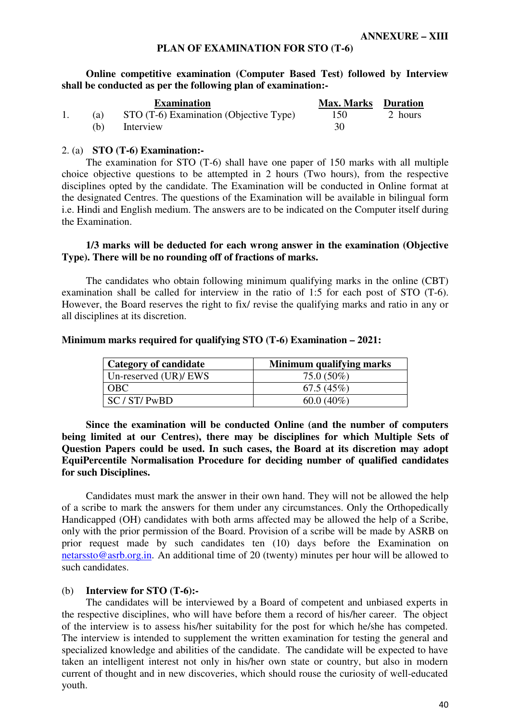#### **PLAN OF EXAMINATION FOR STO (T-6)**

**Online competitive examination (Computer Based Test) followed by Interview shall be conducted as per the following plan of examination:-** 

|     | <b>Examination</b>                     | <b>Max. Marks Duration</b> |         |
|-----|----------------------------------------|----------------------------|---------|
| (a) | STO (T-6) Examination (Objective Type) | 150                        | 2 hours |
| (b) | Interview                              | 30                         |         |

#### 2. (a) **STO (T-6) Examination:-**

The examination for STO (T-6) shall have one paper of 150 marks with all multiple choice objective questions to be attempted in 2 hours (Two hours), from the respective disciplines opted by the candidate. The Examination will be conducted in Online format at the designated Centres. The questions of the Examination will be available in bilingual form i.e. Hindi and English medium. The answers are to be indicated on the Computer itself during the Examination.

#### **1/3 marks will be deducted for each wrong answer in the examination (Objective Type). There will be no rounding off of fractions of marks.**

The candidates who obtain following minimum qualifying marks in the online (CBT) examination shall be called for interview in the ratio of 1:5 for each post of STO (T-6). However, the Board reserves the right to fix/ revise the qualifying marks and ratio in any or all disciplines at its discretion.

#### **Minimum marks required for qualifying STO (T-6) Examination – 2021:**

| <b>Category of candidate</b> | Minimum qualifying marks |
|------------------------------|--------------------------|
| Un-reserved $(UR)/EWS$       | $75.0(50\%)$             |
| <b>OBC</b>                   | 67.5(45%)                |
| SC/ST/ PwBD                  | $60.0(40\%)$             |

**Since the examination will be conducted Online (and the number of computers being limited at our Centres), there may be disciplines for which Multiple Sets of Question Papers could be used. In such cases, the Board at its discretion may adopt EquiPercentile Normalisation Procedure for deciding number of qualified candidates for such Disciplines.** 

Candidates must mark the answer in their own hand. They will not be allowed the help of a scribe to mark the answers for them under any circumstances. Only the Orthopedically Handicapped (OH) candidates with both arms affected may be allowed the help of a Scribe, only with the prior permission of the Board. Provision of a scribe will be made by ASRB on prior request made by such candidates ten (10) days before the Examination on netarssto@asrb.org.in. An additional time of 20 (twenty) minutes per hour will be allowed to such candidates.

#### (b) **Interview for STO (T-6):-**

The candidates will be interviewed by a Board of competent and unbiased experts in the respective disciplines, who will have before them a record of his/her career. The object of the interview is to assess his/her suitability for the post for which he/she has competed. The interview is intended to supplement the written examination for testing the general and specialized knowledge and abilities of the candidate. The candidate will be expected to have taken an intelligent interest not only in his/her own state or country, but also in modern current of thought and in new discoveries, which should rouse the curiosity of well-educated youth.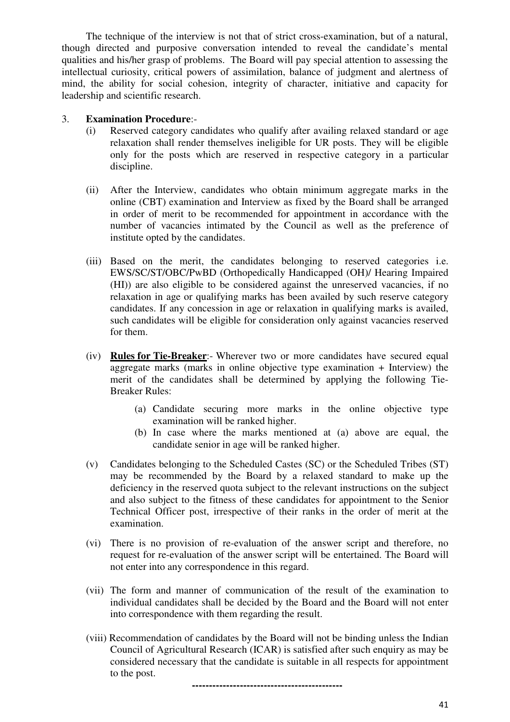The technique of the interview is not that of strict cross-examination, but of a natural, though directed and purposive conversation intended to reveal the candidate's mental qualities and his/her grasp of problems. The Board will pay special attention to assessing the intellectual curiosity, critical powers of assimilation, balance of judgment and alertness of mind, the ability for social cohesion, integrity of character, initiative and capacity for leadership and scientific research.

#### 3. **Examination Procedure**:-

- (i) Reserved category candidates who qualify after availing relaxed standard or age relaxation shall render themselves ineligible for UR posts. They will be eligible only for the posts which are reserved in respective category in a particular discipline.
- (ii) After the Interview, candidates who obtain minimum aggregate marks in the online (CBT) examination and Interview as fixed by the Board shall be arranged in order of merit to be recommended for appointment in accordance with the number of vacancies intimated by the Council as well as the preference of institute opted by the candidates.
- (iii) Based on the merit, the candidates belonging to reserved categories i.e. EWS/SC/ST/OBC/PwBD (Orthopedically Handicapped (OH)/ Hearing Impaired (HI)) are also eligible to be considered against the unreserved vacancies, if no relaxation in age or qualifying marks has been availed by such reserve category candidates. If any concession in age or relaxation in qualifying marks is availed, such candidates will be eligible for consideration only against vacancies reserved for them.
- (iv) **Rules for Tie-Breaker**:- Wherever two or more candidates have secured equal aggregate marks (marks in online objective type examination + Interview) the merit of the candidates shall be determined by applying the following Tie-Breaker Rules:
	- (a) Candidate securing more marks in the online objective type examination will be ranked higher.
	- (b) In case where the marks mentioned at (a) above are equal, the candidate senior in age will be ranked higher.
- (v) Candidates belonging to the Scheduled Castes (SC) or the Scheduled Tribes (ST) may be recommended by the Board by a relaxed standard to make up the deficiency in the reserved quota subject to the relevant instructions on the subject and also subject to the fitness of these candidates for appointment to the Senior Technical Officer post, irrespective of their ranks in the order of merit at the examination.
- (vi) There is no provision of re-evaluation of the answer script and therefore, no request for re-evaluation of the answer script will be entertained. The Board will not enter into any correspondence in this regard.
- (vii) The form and manner of communication of the result of the examination to individual candidates shall be decided by the Board and the Board will not enter into correspondence with them regarding the result.
- (viii) Recommendation of candidates by the Board will not be binding unless the Indian Council of Agricultural Research (ICAR) is satisfied after such enquiry as may be considered necessary that the candidate is suitable in all respects for appointment to the post.

**--------------------------------------------**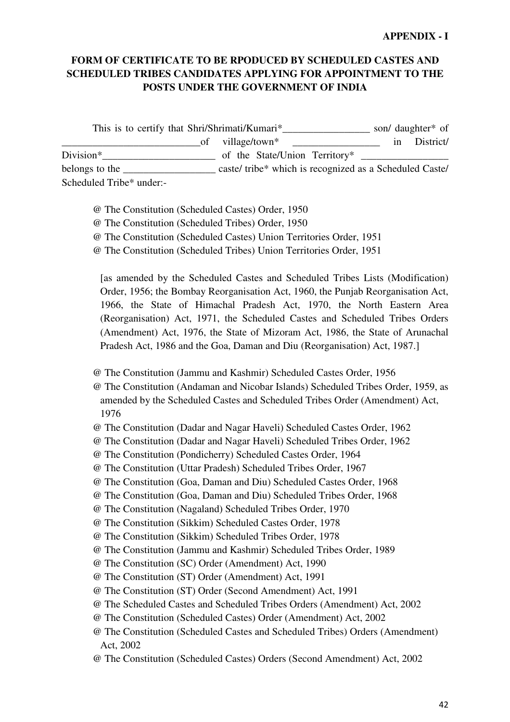## **FORM OF CERTIFICATE TO BE RPODUCED BY SCHEDULED CASTES AND SCHEDULED TRIBES CANDIDATES APPLYING FOR APPOINTMENT TO THE POSTS UNDER THE GOVERNMENT OF INDIA**

This is to certify that Shri/Shrimati/Kumari\*\_\_\_\_\_\_\_\_\_\_\_\_\_\_\_\_\_\_\_\_ son/ daughter\* of \_\_\_\_\_\_\_\_\_\_\_\_\_\_\_\_\_\_\_\_\_\_\_\_\_\_\_of village/town\* \_\_\_\_\_\_\_\_\_\_\_\_\_\_\_\_\_ in District/ Division\*\_\_\_\_\_\_\_\_\_\_\_\_\_\_\_\_\_\_\_\_\_\_ of the State/Union Territory\* \_\_\_\_\_\_\_\_\_\_\_\_\_\_\_\_\_ belongs to the caste/ tribe\* which is recognized as a Scheduled Caste/ Scheduled Tribe\* under:-

- @ The Constitution (Scheduled Castes) Order, 1950
- @ The Constitution (Scheduled Tribes) Order, 1950
- @ The Constitution (Scheduled Castes) Union Territories Order, 1951
- @ The Constitution (Scheduled Tribes) Union Territories Order, 1951

[as amended by the Scheduled Castes and Scheduled Tribes Lists (Modification) Order, 1956; the Bombay Reorganisation Act, 1960, the Punjab Reorganisation Act, 1966, the State of Himachal Pradesh Act, 1970, the North Eastern Area (Reorganisation) Act, 1971, the Scheduled Castes and Scheduled Tribes Orders (Amendment) Act, 1976, the State of Mizoram Act, 1986, the State of Arunachal Pradesh Act, 1986 and the Goa, Daman and Diu (Reorganisation) Act, 1987.]

- @ The Constitution (Jammu and Kashmir) Scheduled Castes Order, 1956
- @ The Constitution (Andaman and Nicobar Islands) Scheduled Tribes Order, 1959, as amended by the Scheduled Castes and Scheduled Tribes Order (Amendment) Act, 1976
- @ The Constitution (Dadar and Nagar Haveli) Scheduled Castes Order, 1962
- @ The Constitution (Dadar and Nagar Haveli) Scheduled Tribes Order, 1962
- @ The Constitution (Pondicherry) Scheduled Castes Order, 1964
- @ The Constitution (Uttar Pradesh) Scheduled Tribes Order, 1967
- @ The Constitution (Goa, Daman and Diu) Scheduled Castes Order, 1968
- @ The Constitution (Goa, Daman and Diu) Scheduled Tribes Order, 1968
- @ The Constitution (Nagaland) Scheduled Tribes Order, 1970

@ The Constitution (Sikkim) Scheduled Castes Order, 1978

- @ The Constitution (Sikkim) Scheduled Tribes Order, 1978
- @ The Constitution (Jammu and Kashmir) Scheduled Tribes Order, 1989
- @ The Constitution (SC) Order (Amendment) Act, 1990
- @ The Constitution (ST) Order (Amendment) Act, 1991
- @ The Constitution (ST) Order (Second Amendment) Act, 1991
- @ The Scheduled Castes and Scheduled Tribes Orders (Amendment) Act, 2002
- @ The Constitution (Scheduled Castes) Order (Amendment) Act, 2002
- @ The Constitution (Scheduled Castes and Scheduled Tribes) Orders (Amendment) Act, 2002
- @ The Constitution (Scheduled Castes) Orders (Second Amendment) Act, 2002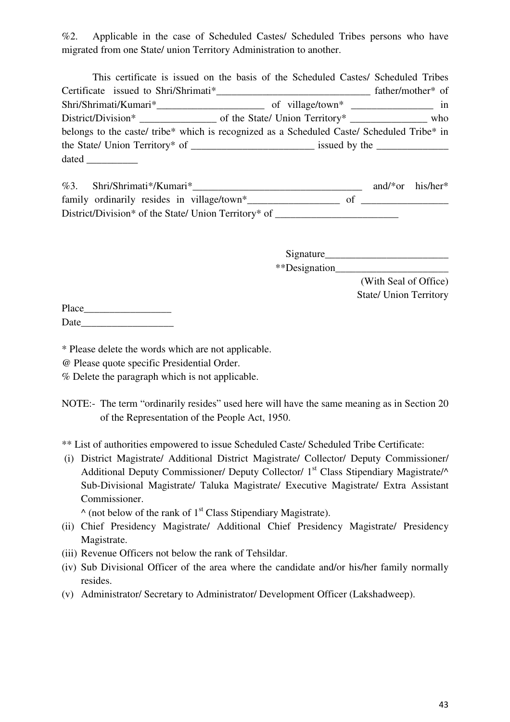%2. Applicable in the case of Scheduled Castes/ Scheduled Tribes persons who have migrated from one State/ union Territory Administration to another.

|                                                                                            | This certificate is issued on the basis of the Scheduled Castes/ Scheduled Tribes |                   |
|--------------------------------------------------------------------------------------------|-----------------------------------------------------------------------------------|-------------------|
|                                                                                            |                                                                                   | father/mother* of |
|                                                                                            |                                                                                   |                   |
|                                                                                            |                                                                                   |                   |
| belongs to the caste/ tribe* which is recognized as a Scheduled Caste/ Scheduled Tribe* in |                                                                                   |                   |
|                                                                                            |                                                                                   |                   |
|                                                                                            |                                                                                   |                   |

| %3. | Shri/Shrimati*/Kumari*                               |  | and/*or his/her* |  |
|-----|------------------------------------------------------|--|------------------|--|
|     | family ordinarily resides in village/town*           |  |                  |  |
|     | District/Division* of the State/ Union Territory* of |  |                  |  |

Signature\_\_\_\_\_\_\_\_\_\_\_\_\_\_\_\_\_\_\_\_\_\_\_\_ \*\*Designation\_\_\_\_\_\_\_\_\_\_\_\_\_\_\_\_\_\_\_\_\_\_

(With Seal of Office) State/ Union Territory

| Place |  |  |
|-------|--|--|
| Date  |  |  |

\* Please delete the words which are not applicable.

@ Please quote specific Presidential Order.

% Delete the paragraph which is not applicable.

NOTE:- The term "ordinarily resides" used here will have the same meaning as in Section 20 of the Representation of the People Act, 1950.

\*\* List of authorities empowered to issue Scheduled Caste/ Scheduled Tribe Certificate:

 (i) District Magistrate/ Additional District Magistrate/ Collector/ Deputy Commissioner/ Additional Deputy Commissioner/ Deputy Collector/  $1<sup>st</sup>$  Class Stipendiary Magistrate/ $\wedge$ Sub-Divisional Magistrate/ Taluka Magistrate/ Executive Magistrate/ Extra Assistant Commissioner.

 $\wedge$  (not below of the rank of 1<sup>st</sup> Class Stipendiary Magistrate).

- (ii) Chief Presidency Magistrate/ Additional Chief Presidency Magistrate/ Presidency Magistrate.
- (iii) Revenue Officers not below the rank of Tehsildar.
- (iv) Sub Divisional Officer of the area where the candidate and/or his/her family normally resides.
- (v) Administrator/ Secretary to Administrator/ Development Officer (Lakshadweep).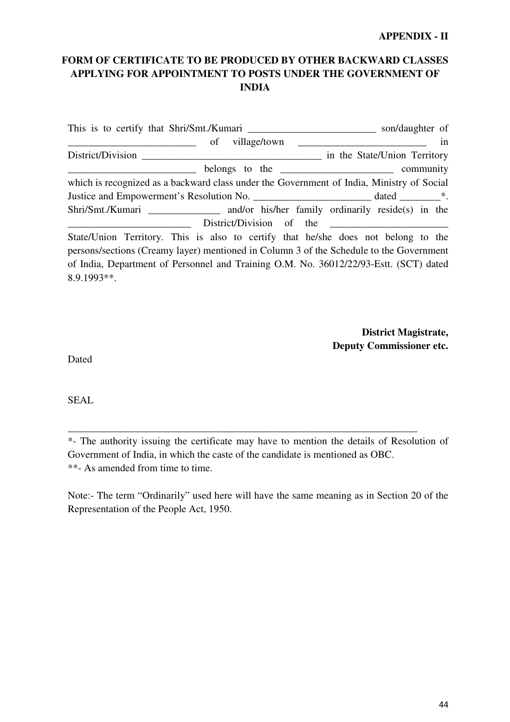#### **APPENDIX - II**

## **FORM OF CERTIFICATE TO BE PRODUCED BY OTHER BACKWARD CLASSES APPLYING FOR APPOINTMENT TO POSTS UNDER THE GOVERNMENT OF INDIA**

|                                                                                           | son/daughter of              |
|-------------------------------------------------------------------------------------------|------------------------------|
| of                                                                                        | in                           |
| District/Division                                                                         | in the State/Union Territory |
|                                                                                           |                              |
| which is recognized as a backward class under the Government of India, Ministry of Social |                              |
|                                                                                           |                              |
|                                                                                           |                              |
|                                                                                           | District/Division of the     |
| State/Union Territory. This is also to certify that he/she does not belong to the         |                              |
| persons/sections (Creamy layer) mentioned in Column 3 of the Schedule to the Government   |                              |
| of India, Department of Personnel and Training O.M. No. 36012/22/93-Estt. (SCT) dated     |                              |
| 8.9.1993**.                                                                               |                              |

**District Magistrate, Deputy Commissioner etc.** 

Dated

SEAL

\*- The authority issuing the certificate may have to mention the details of Resolution of Government of India, in which the caste of the candidate is mentioned as OBC. \*\*- As amended from time to time.

\_\_\_\_\_\_\_\_\_\_\_\_\_\_\_\_\_\_\_\_\_\_\_\_\_\_\_\_\_\_\_\_\_\_\_\_\_\_\_\_\_\_\_\_\_\_\_\_\_\_\_\_\_\_\_\_\_\_\_\_\_\_\_\_\_\_\_\_

Note:- The term "Ordinarily" used here will have the same meaning as in Section 20 of the Representation of the People Act, 1950.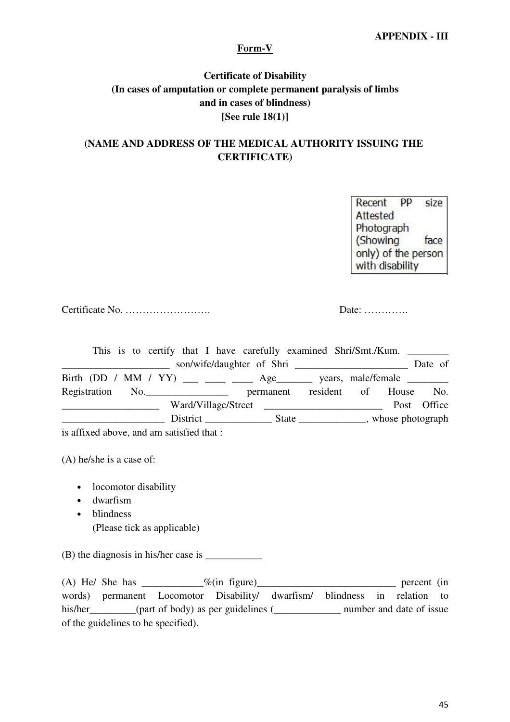## **APPENDIX - III**

### **Form-V**

## **Certificate of Disability (In cases of amputation or complete permanent paralysis of limbs and in cases of blindness) [See rule 18(1)]**

## **(NAME AND ADDRESS OF THE MEDICAL AUTHORITY ISSUING THE CERTIFICATE)**

Recent PP size Attested Photograph (Showing face only) of the person with disability

Certificate No. ……………………. Date: ………….

| This is to certify that I have carefully examined Shri/Smt./Kum.                                                       |                                 |  |             |
|------------------------------------------------------------------------------------------------------------------------|---------------------------------|--|-------------|
| <u> Alexandro Alexandro Alexandro Alexandro Alexandro Alexandro Alexandro Alexandro Alexandro Alexandro Alexandro </u> |                                 |  | Date of     |
|                                                                                                                        |                                 |  |             |
| Registration No.                                                                                                       | permanent resident of House No. |  |             |
|                                                                                                                        | Ward/Village/Street             |  | Post Office |
|                                                                                                                        |                                 |  |             |
| is affixed above, and am satisfied that :                                                                              |                                 |  |             |

(A) he/she is a case of:

- locomotor disability
- dwarfism
- blindness (Please tick as applicable)

 $(B)$  the diagnosis in his/her case is

(A) He/ She has  $\frac{\% (in \text{ figure})}{\% (in \text{ figure})}$  percent (in words) permanent Locomotor Disability/ dwarfism/ blindness in relation to his/her\_\_\_\_\_\_\_(part of body) as per guidelines (\_\_\_\_\_\_\_\_\_\_\_\_\_\_\_ number and date of issue of the guidelines to be specified).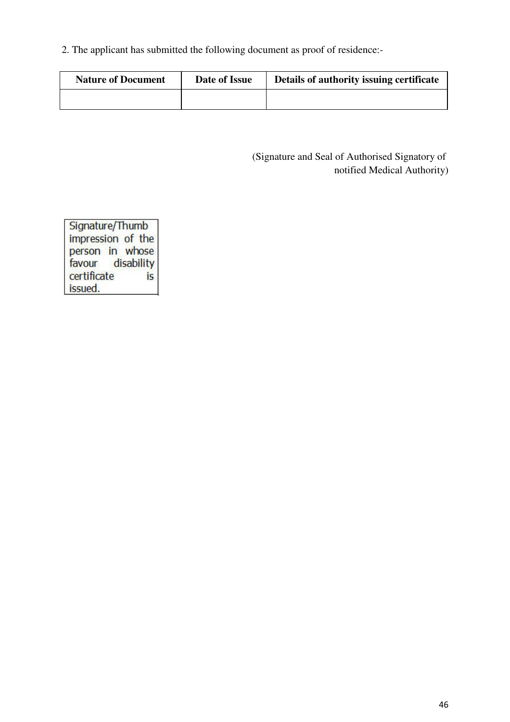2. The applicant has submitted the following document as proof of residence:-

| <b>Nature of Document</b> | Date of Issue | Details of authority issuing certificate |
|---------------------------|---------------|------------------------------------------|
|                           |               |                                          |

(Signature and Seal of Authorised Signatory of notified Medical Authority)

Signature/Thumb impression of the person in whose disability favour certificate İs issued.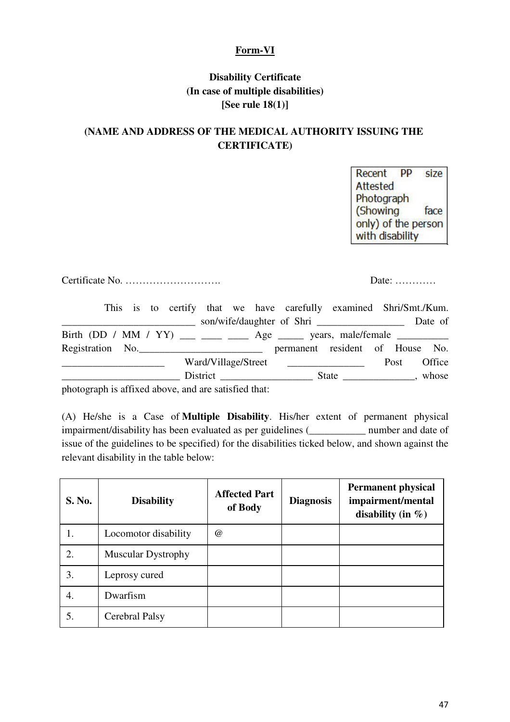## **Form-VI**

## **Disability Certificate (In case of multiple disabilities) [See rule 18(1)]**

## **(NAME AND ADDRESS OF THE MEDICAL AUTHORITY ISSUING THE CERTIFICATE)**

Recent **PP** size Attested Photograph (Showing face only) of the person with disability

Certificate No. ………………………. Date: …………

|  |  |                                                |  | This is to certify that we have carefully examined Shri/Smt./Kum.     |  |      |         |
|--|--|------------------------------------------------|--|-----------------------------------------------------------------------|--|------|---------|
|  |  | <u>and the state of the state of the state</u> |  | son/wife/daughter of Shri                                             |  |      | Date of |
|  |  |                                                |  | Birth (DD / MM / YY) ___ ___ ___ Age ____ years, male/female ________ |  |      |         |
|  |  |                                                |  | Registration No. <u>Community permanent</u> resident of House No.     |  |      |         |
|  |  |                                                |  | Ward/Village/Street                                                   |  | Post | Office  |
|  |  |                                                |  |                                                                       |  |      |         |
|  |  |                                                |  |                                                                       |  |      |         |

photograph is affixed above, and are satisfied that:

(A) He/she is a Case of **Multiple Disability**. His/her extent of permanent physical impairment/disability has been evaluated as per guidelines (\_\_\_\_\_\_\_\_\_\_\_ number and date of issue of the guidelines to be specified) for the disabilities ticked below, and shown against the relevant disability in the table below:

| <b>S. No.</b> | <b>Disability</b>         | <b>Affected Part</b><br>of Body | <b>Diagnosis</b> | <b>Permanent physical</b><br>impairment/mental<br>disability (in $\%$ ) |
|---------------|---------------------------|---------------------------------|------------------|-------------------------------------------------------------------------|
| 1.            | Locomotor disability      | $\omega$                        |                  |                                                                         |
| 2.            | <b>Muscular Dystrophy</b> |                                 |                  |                                                                         |
| 3.            | Leprosy cured             |                                 |                  |                                                                         |
| 4.            | Dwarfism                  |                                 |                  |                                                                         |
| 5.            | Cerebral Palsy            |                                 |                  |                                                                         |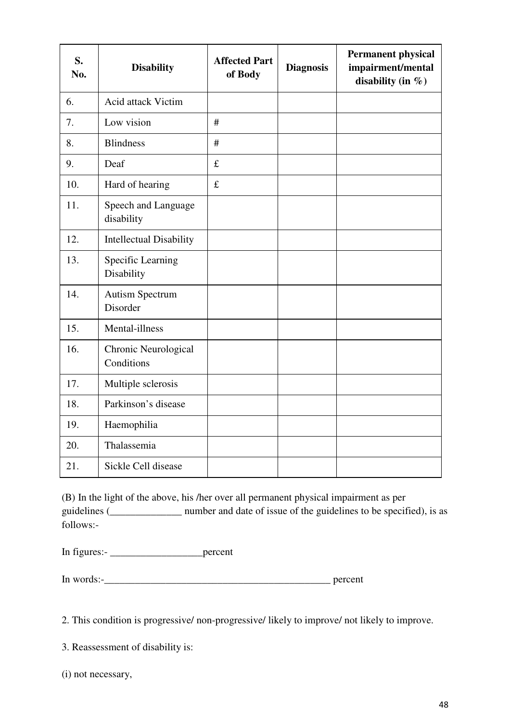| S.<br>No. | <b>Disability</b>                  | <b>Affected Part</b><br>of Body | <b>Diagnosis</b> | <b>Permanent physical</b><br>impairment/mental<br>disability (in $%$ ) |
|-----------|------------------------------------|---------------------------------|------------------|------------------------------------------------------------------------|
| 6.        | <b>Acid attack Victim</b>          |                                 |                  |                                                                        |
| 7.        | Low vision                         | #                               |                  |                                                                        |
| 8.        | <b>Blindness</b>                   | #                               |                  |                                                                        |
| 9.        | Deaf                               | $\mathbf f$                     |                  |                                                                        |
| 10.       | Hard of hearing                    | $\mathbf f$                     |                  |                                                                        |
| 11.       | Speech and Language<br>disability  |                                 |                  |                                                                        |
| 12.       | <b>Intellectual Disability</b>     |                                 |                  |                                                                        |
| 13.       | Specific Learning<br>Disability    |                                 |                  |                                                                        |
| 14.       | <b>Autism Spectrum</b><br>Disorder |                                 |                  |                                                                        |
| 15.       | Mental-illness                     |                                 |                  |                                                                        |
| 16.       | Chronic Neurological<br>Conditions |                                 |                  |                                                                        |
| 17.       | Multiple sclerosis                 |                                 |                  |                                                                        |
| 18.       | Parkinson's disease                |                                 |                  |                                                                        |
| 19.       | Haemophilia                        |                                 |                  |                                                                        |
| 20.       | Thalassemia                        |                                 |                  |                                                                        |
| 21.       | Sickle Cell disease                |                                 |                  |                                                                        |

(B) In the light of the above, his /her over all permanent physical impairment as per guidelines (\_\_\_\_\_\_\_\_\_\_\_\_\_\_ number and date of issue of the guidelines to be specified), is as follows:-

In figures:- \_\_\_\_\_\_\_\_\_\_\_\_\_\_\_\_\_\_percent

In words:-\_\_\_\_\_\_\_\_\_\_\_\_\_\_\_\_\_\_\_\_\_\_\_\_\_\_\_\_\_\_\_\_\_\_\_\_\_\_\_\_\_\_\_\_ percent

2. This condition is progressive/ non-progressive/ likely to improve/ not likely to improve.

3. Reassessment of disability is:

(i) not necessary,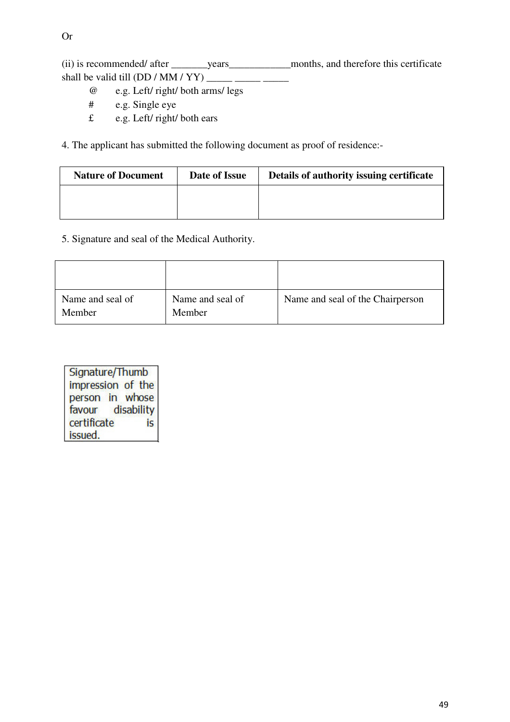(ii) is recommended/ after years months, and therefore this certificate shall be valid till (DD / MM / YY) \_\_\_\_\_ \_\_\_\_\_ \_\_\_\_\_

- @ e.g. Left/ right/ both arms/ legs
- # e.g. Single eye
- £ e.g. Left/ right/ both ears

4. The applicant has submitted the following document as proof of residence:-

| <b>Nature of Document</b> | Date of Issue | Details of authority issuing certificate |
|---------------------------|---------------|------------------------------------------|
|                           |               |                                          |
|                           |               |                                          |

5. Signature and seal of the Medical Authority.

| Name and seal of<br>Member | Name and seal of<br>Member | Name and seal of the Chairperson |
|----------------------------|----------------------------|----------------------------------|

Signature/Thumb impression of the person in whose favour disability certificate is issued.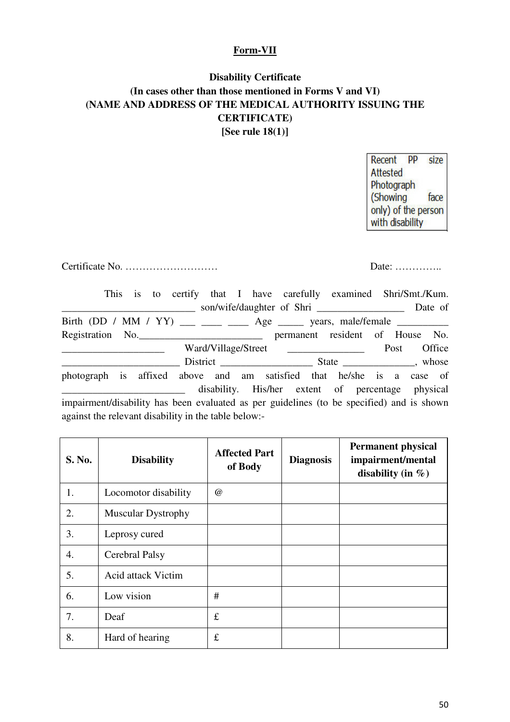## **Form-VII**

# **Disability Certificate (In cases other than those mentioned in Forms V and VI) (NAME AND ADDRESS OF THE MEDICAL AUTHORITY ISSUING THE CERTIFICATE) [See rule 18(1)]**

Recent PP size Attested Photograph face (Showing only) of the person with disability

Certificate No. ……………………… Date: …………..

|                                                                                           | This is to certify that I have carefully examined Shri/Smt./Kum. |                                                            |      |        |
|-------------------------------------------------------------------------------------------|------------------------------------------------------------------|------------------------------------------------------------|------|--------|
|                                                                                           |                                                                  | son/wife/daughter of Shri ________________________ Date of |      |        |
|                                                                                           |                                                                  |                                                            |      |        |
| Registration No. 1990. Registration No.                                                   |                                                                  |                                                            |      |        |
|                                                                                           |                                                                  | Ward/Village/Street                                        | Post | Office |
|                                                                                           |                                                                  |                                                            |      |        |
| photograph is affixed above and am satisfied that he/she is a case of                     |                                                                  |                                                            |      |        |
| impairment/disability has been evaluated as per guidelines (to be specified) and is shown |                                                                  | disability. His/her extent of percentage physical          |      |        |
| against the relevant disability in the table below:-                                      |                                                                  |                                                            |      |        |

| <b>S. No.</b> | <b>Disability</b>         | <b>Affected Part</b><br>of Body | <b>Diagnosis</b> | <b>Permanent physical</b><br>impairment/mental<br>disability (in $\%$ ) |
|---------------|---------------------------|---------------------------------|------------------|-------------------------------------------------------------------------|
| 1.            | Locomotor disability      | @                               |                  |                                                                         |
| 2.            | <b>Muscular Dystrophy</b> |                                 |                  |                                                                         |
| 3.            | Leprosy cured             |                                 |                  |                                                                         |
| 4.            | Cerebral Palsy            |                                 |                  |                                                                         |
| 5.            | <b>Acid attack Victim</b> |                                 |                  |                                                                         |
| 6.            | Low vision                | #                               |                  |                                                                         |
| 7.            | Deaf                      | $\pounds$                       |                  |                                                                         |
| 8.            | Hard of hearing           | $\pounds$                       |                  |                                                                         |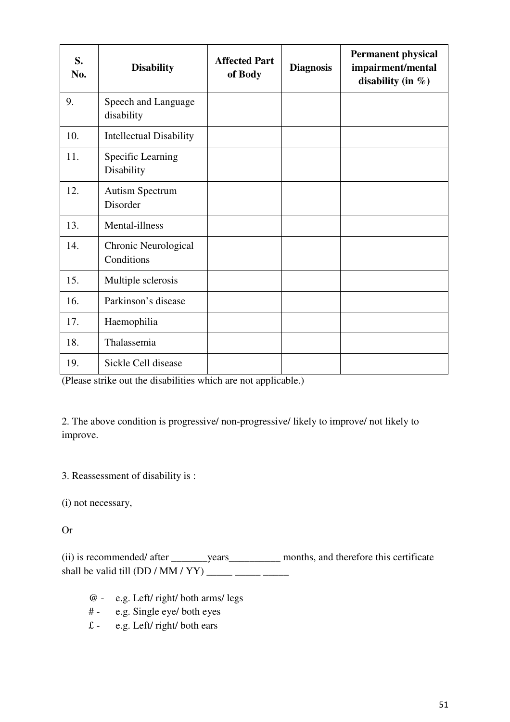| S.<br>No. | <b>Disability</b>                  | <b>Affected Part</b><br>of Body | <b>Diagnosis</b> | <b>Permanent physical</b><br>impairment/mental<br>disability (in $\%$ ) |
|-----------|------------------------------------|---------------------------------|------------------|-------------------------------------------------------------------------|
| 9.        | Speech and Language<br>disability  |                                 |                  |                                                                         |
| 10.       | <b>Intellectual Disability</b>     |                                 |                  |                                                                         |
| 11.       | Specific Learning<br>Disability    |                                 |                  |                                                                         |
| 12.       | <b>Autism Spectrum</b><br>Disorder |                                 |                  |                                                                         |
| 13.       | Mental-illness                     |                                 |                  |                                                                         |
| 14.       | Chronic Neurological<br>Conditions |                                 |                  |                                                                         |
| 15.       | Multiple sclerosis                 |                                 |                  |                                                                         |
| 16.       | Parkinson's disease                |                                 |                  |                                                                         |
| 17.       | Haemophilia                        |                                 |                  |                                                                         |
| 18.       | Thalassemia                        |                                 |                  |                                                                         |
| 19.       | Sickle Cell disease                |                                 |                  |                                                                         |

(Please strike out the disabilities which are not applicable.)

2. The above condition is progressive/ non-progressive/ likely to improve/ not likely to improve.

3. Reassessment of disability is :

(i) not necessary,

Or

(ii) is recommended/ after \_\_\_\_\_\_\_\_years\_\_\_\_\_\_\_\_\_\_\_\_\_ months, and therefore this certificate shall be valid till (DD / MM / YY) \_\_\_\_\_ \_\_\_\_\_ \_\_\_\_\_

- @ e.g. Left/ right/ both arms/ legs
- # e.g. Single eye/ both eyes
- $\text{\pounds}$  e.g. Left/ right/ both ears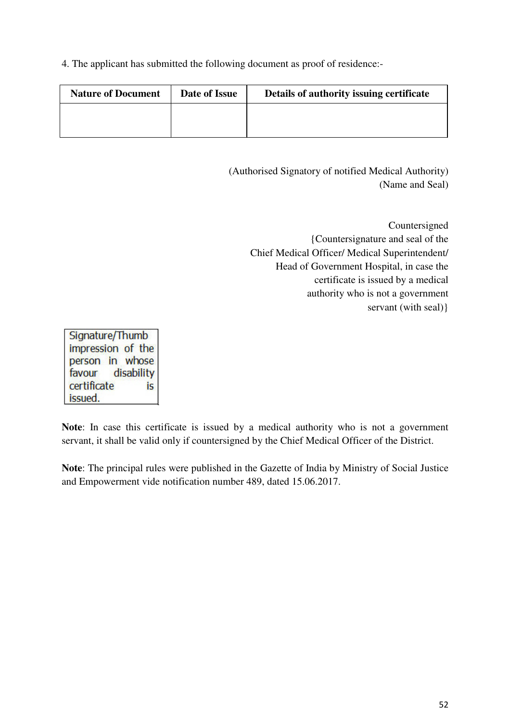4. The applicant has submitted the following document as proof of residence:-

| <b>Nature of Document</b> | Date of Issue | Details of authority issuing certificate |
|---------------------------|---------------|------------------------------------------|
|                           |               |                                          |
|                           |               |                                          |

(Authorised Signatory of notified Medical Authority) (Name and Seal)

> Countersigned {Countersignature and seal of the Chief Medical Officer/ Medical Superintendent/ Head of Government Hospital, in case the certificate is issued by a medical authority who is not a government servant (with seal) }

Signature/Thumb impression of the person in whose favour disability certificate is. issued.

**Note**: In case this certificate is issued by a medical authority who is not a government servant, it shall be valid only if countersigned by the Chief Medical Officer of the District.

**Note**: The principal rules were published in the Gazette of India by Ministry of Social Justice and Empowerment vide notification number 489, dated 15.06.2017.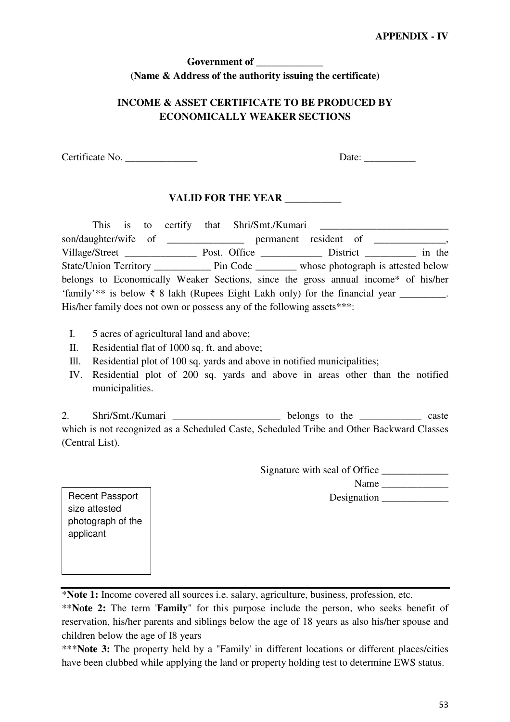## **Government of \_\_\_\_\_\_\_\_\_\_\_\_\_ (Name & Address of the authority issuing the certificate)**

## **INCOME & ASSET CERTIFICATE TO BE PRODUCED BY ECONOMICALLY WEAKER SECTIONS**

Certificate No.  $\Box$ 

## **VALID FOR THE YEAR \_\_\_\_\_\_\_\_\_\_\_**

|                                                                        | This is to certify that Shri/Smt./Kumari |                                                                                                   |  |  |  |
|------------------------------------------------------------------------|------------------------------------------|---------------------------------------------------------------------------------------------------|--|--|--|
|                                                                        |                                          | son/daughter/wife of _________________ permanent resident of __________________,                  |  |  |  |
|                                                                        |                                          |                                                                                                   |  |  |  |
|                                                                        |                                          |                                                                                                   |  |  |  |
|                                                                        |                                          | belongs to Economically Weaker Sections, since the gross annual income* of his/her                |  |  |  |
|                                                                        |                                          | 'family'** is below $\bar{\tau}$ 8 lakh (Rupees Eight Lakh only) for the financial year ________. |  |  |  |
| His/her family does not own or possess any of the following assets***: |                                          |                                                                                                   |  |  |  |

- I. 5 acres of agricultural land and above;
- II. Residential flat of 1000 sq. ft. and above;
- Ill. Residential plot of 100 sq. yards and above in notified municipalities;
- IV. Residential plot of 200 sq. yards and above in areas other than the notified municipalities.

2. Shri/Smt./Kumari \_\_\_\_\_\_\_\_\_\_\_\_\_\_\_\_\_\_\_\_\_\_\_ belongs to the \_\_\_\_\_\_\_\_\_\_\_\_\_ caste which is not recognized as a Scheduled Caste, Scheduled Tribe and Other Backward Classes (Central List).

Signature with seal of Office

Name \_\_\_\_\_\_\_\_\_\_\_\_\_

Designation \_\_\_\_\_\_\_\_\_\_\_\_\_

Recent Passport size attested photograph of the applicant

\***Note 1:** Income covered all sources i.e. salary, agriculture, business, profession, etc.

\*\***Note 2:** The term '**Family**" for this purpose include the person, who seeks benefit of reservation, his/her parents and siblings below the age of 18 years as also his/her spouse and children below the age of I8 years

\*\*\***Note 3:** The property held by a "Family' in different locations or different places/cities have been clubbed while applying the land or property holding test to determine EWS status.